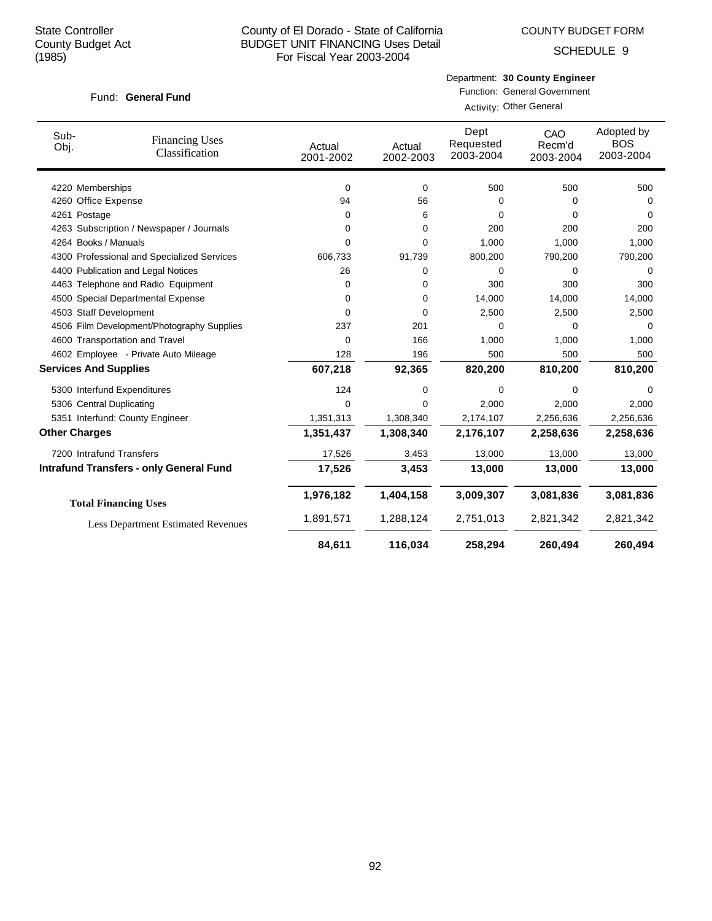# County of El Dorado - State of California BUDGET UNIT FINANCING Uses Detail For Fiscal Year 2003-2004

COUNTY BUDGET FORM

SCHEDULE 9

### Fund: General Fund

Department: **30 County Engineer**

Function: General Government Activity: Other General

| Sub-<br>Obj.         | <b>Financing Uses</b><br>Classification        | Actual<br>2001-2002 | Actual<br>2002-2003 | Dept<br>Requested<br>2003-2004 | CAO<br>Recm'd<br>2003-2004 | Adopted by<br><b>BOS</b><br>2003-2004 |
|----------------------|------------------------------------------------|---------------------|---------------------|--------------------------------|----------------------------|---------------------------------------|
|                      | 4220 Memberships                               | 0                   | 0                   | 500                            | 500                        | 500                                   |
|                      | 4260 Office Expense                            | 94                  | 56                  | 0                              | 0                          | 0                                     |
| 4261 Postage         |                                                | 0                   | 6                   | 0                              | 0                          | 0                                     |
|                      | 4263 Subscription / Newspaper / Journals       | 0                   | 0                   | 200                            | 200                        | 200                                   |
|                      | 4264 Books / Manuals                           | 0                   | 0                   | 1,000                          | 1,000                      | 1,000                                 |
|                      | 4300 Professional and Specialized Services     | 606,733             | 91,739              | 800,200                        | 790,200                    | 790,200                               |
|                      | 4400 Publication and Legal Notices             | 26                  | 0                   | 0                              | $\mathbf 0$                | $\Omega$                              |
|                      | 4463 Telephone and Radio Equipment             | $\Omega$            | 0                   | 300                            | 300                        | 300                                   |
|                      | 4500 Special Departmental Expense              | 0                   | 0                   | 14,000                         | 14,000                     | 14,000                                |
|                      | 4503 Staff Development                         | $\Omega$            | $\Omega$            | 2,500                          | 2,500                      | 2,500                                 |
|                      | 4506 Film Development/Photography Supplies     | 237                 | 201                 | 0                              | 0                          | 0                                     |
|                      | 4600 Transportation and Travel                 | 0                   | 166                 | 1,000                          | 1,000                      | 1,000                                 |
|                      | 4602 Employee - Private Auto Mileage           | 128                 | 196                 | 500                            | 500                        | 500                                   |
|                      | <b>Services And Supplies</b>                   | 607,218             | 92,365              | 820,200                        | 810,200                    | 810,200                               |
|                      | 5300 Interfund Expenditures                    | 124                 | 0                   | 0                              | 0                          | 0                                     |
|                      | 5306 Central Duplicating                       | $\Omega$            | $\Omega$            | 2,000                          | 2,000                      | 2,000                                 |
|                      | 5351 Interfund: County Engineer                | 1,351,313           | 1,308,340           | 2,174,107                      | 2,256,636                  | 2,256,636                             |
| <b>Other Charges</b> |                                                | 1,351,437           | 1,308,340           | 2,176,107                      | 2,258,636                  | 2,258,636                             |
|                      | 7200 Intrafund Transfers                       | 17,526              | 3,453               | 13,000                         | 13,000                     | 13,000                                |
|                      | <b>Intrafund Transfers - only General Fund</b> | 17,526              | 3,453               | 13,000                         | 13,000                     | 13,000                                |
|                      | <b>Total Financing Uses</b>                    | 1,976,182           | 1,404,158           | 3,009,307                      | 3,081,836                  | 3,081,836                             |
|                      | <b>Less Department Estimated Revenues</b>      | 1,891,571           | 1,288,124           | 2,751,013                      | 2,821,342                  | 2,821,342                             |
|                      |                                                | 84,611              | 116,034             | 258,294                        | 260,494                    | 260,494                               |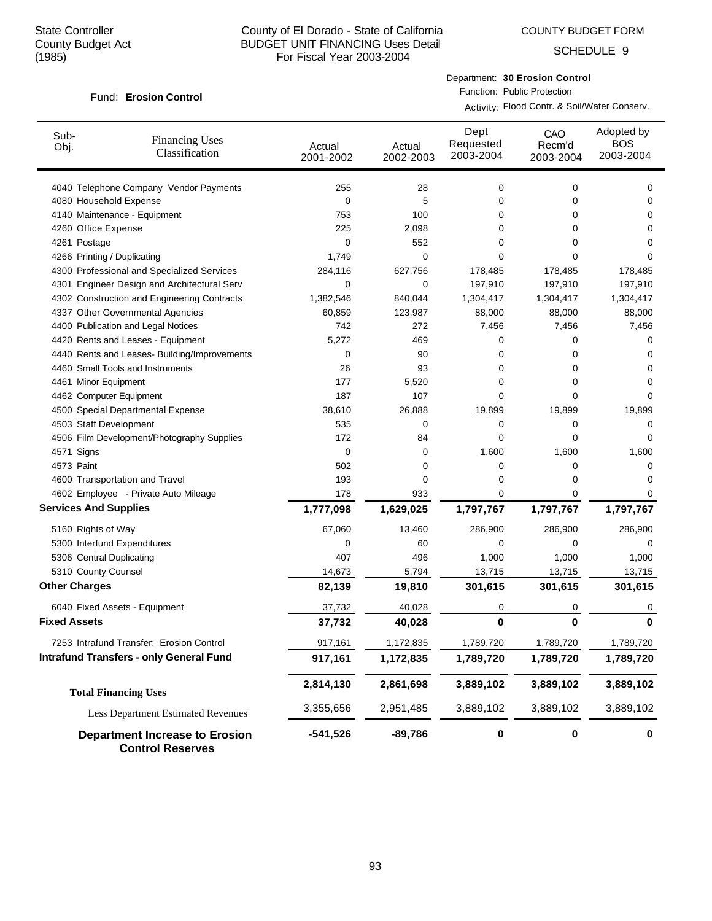# County of El Dorado - State of California BUDGET UNIT FINANCING Uses Detail For Fiscal Year 2003-2004

COUNTY BUDGET FORM

SCHEDULE 9

# **Erosion Control** Fund:

Department: **30 Erosion Control**

Function: Public Protection Activity: Flood Contr. & Soil/Water Conserv.

| Sub-<br>Obj.                 | <b>Financing Uses</b><br>Classification                          | Actual<br>2001-2002 | Actual<br>2002-2003 | Dept<br>Requested<br>2003-2004 | CAO<br>Recm'd<br>2003-2004 | Adopted by<br><b>BOS</b><br>2003-2004 |
|------------------------------|------------------------------------------------------------------|---------------------|---------------------|--------------------------------|----------------------------|---------------------------------------|
|                              | 4040 Telephone Company Vendor Payments                           | 255                 | 28                  | 0                              | 0                          | 0                                     |
| 4080 Household Expense       |                                                                  | 0                   | 5                   | 0                              | 0                          | 0                                     |
|                              | 4140 Maintenance - Equipment                                     | 753                 | 100                 | 0                              | 0                          | 0                                     |
| 4260 Office Expense          |                                                                  | 225                 | 2,098               | 0                              | 0                          | 0                                     |
| 4261 Postage                 |                                                                  | 0                   | 552                 | 0                              | 0                          | 0                                     |
| 4266 Printing / Duplicating  |                                                                  | 1,749               | 0                   | 0                              | 0                          | 0                                     |
|                              | 4300 Professional and Specialized Services                       | 284,116             | 627,756             | 178,485                        | 178,485                    | 178,485                               |
|                              | 4301 Engineer Design and Architectural Serv                      | 0                   | 0                   | 197,910                        | 197,910                    | 197,910                               |
|                              | 4302 Construction and Engineering Contracts                      | 1,382,546           | 840,044             | 1,304,417                      | 1,304,417                  | 1,304,417                             |
|                              | 4337 Other Governmental Agencies                                 | 60,859              | 123,987             | 88,000                         | 88,000                     | 88,000                                |
|                              | 4400 Publication and Legal Notices                               | 742                 | 272                 | 7,456                          | 7,456                      | 7,456                                 |
|                              | 4420 Rents and Leases - Equipment                                | 5,272               | 469                 | 0                              | 0                          | 0                                     |
|                              | 4440 Rents and Leases- Building/Improvements                     | 0                   | 90                  | 0                              | 0                          | 0                                     |
|                              | 4460 Small Tools and Instruments                                 | 26                  | 93                  | 0                              | 0                          | 0                                     |
| 4461 Minor Equipment         |                                                                  | 177                 | 5,520               | 0                              | 0                          | 0                                     |
| 4462 Computer Equipment      |                                                                  | 187                 | 107                 | 0                              | 0                          | 0                                     |
|                              | 4500 Special Departmental Expense                                | 38,610              | 26,888              | 19,899                         | 19,899                     | 19,899                                |
| 4503 Staff Development       |                                                                  | 535                 | 0                   | 0                              | 0                          | 0                                     |
|                              | 4506 Film Development/Photography Supplies                       | 172                 | 84                  | 0                              | 0                          | 0                                     |
| 4571 Signs                   |                                                                  | 0                   | 0                   | 1,600                          | 1,600                      | 1,600                                 |
| 4573 Paint                   |                                                                  | 502                 | 0                   | 0                              | 0                          | 0                                     |
|                              | 4600 Transportation and Travel                                   | 193                 | 0                   | 0                              | 0                          | 0                                     |
|                              | 4602 Employee - Private Auto Mileage                             | 178                 | 933                 | 0                              | 0                          | 0                                     |
| <b>Services And Supplies</b> |                                                                  | 1,777,098           | 1,629,025           | 1,797,767                      | 1,797,767                  | 1,797,767                             |
| 5160 Rights of Way           |                                                                  | 67,060              | 13,460              | 286,900                        | 286,900                    | 286,900                               |
|                              | 5300 Interfund Expenditures                                      | 0                   | 60                  | 0                              | 0                          | 0                                     |
| 5306 Central Duplicating     |                                                                  | 407                 | 496                 | 1,000                          | 1,000                      | 1,000                                 |
| 5310 County Counsel          |                                                                  | 14,673              | 5,794               | 13,715                         | 13,715                     | 13,715                                |
| <b>Other Charges</b>         |                                                                  | 82,139              | 19,810              | 301,615                        | 301,615                    | 301,615                               |
|                              | 6040 Fixed Assets - Equipment                                    | 37,732              | 40,028              | 0                              | 0                          | 0                                     |
| <b>Fixed Assets</b>          |                                                                  | 37,732              | 40,028              | 0                              | $\bf{0}$                   | $\bf{0}$                              |
|                              | 7253 Intrafund Transfer: Erosion Control                         | 917,161             | 1,172,835           | 1,789,720                      | 1,789,720                  | 1,789,720                             |
|                              | <b>Intrafund Transfers - only General Fund</b>                   | 917,161             | 1,172,835           | 1,789,720                      | 1,789,720                  | 1,789,720                             |
|                              | <b>Total Financing Uses</b>                                      | 2,814,130           | 2,861,698           | 3,889,102                      | 3,889,102                  | 3,889,102                             |
|                              | <b>Less Department Estimated Revenues</b>                        | 3,355,656           | 2,951,485           | 3,889,102                      | 3,889,102                  | 3,889,102                             |
|                              | <b>Department Increase to Erosion</b><br><b>Control Reserves</b> | $-541,526$          | -89,786             | $\bf{0}$                       | 0                          | 0                                     |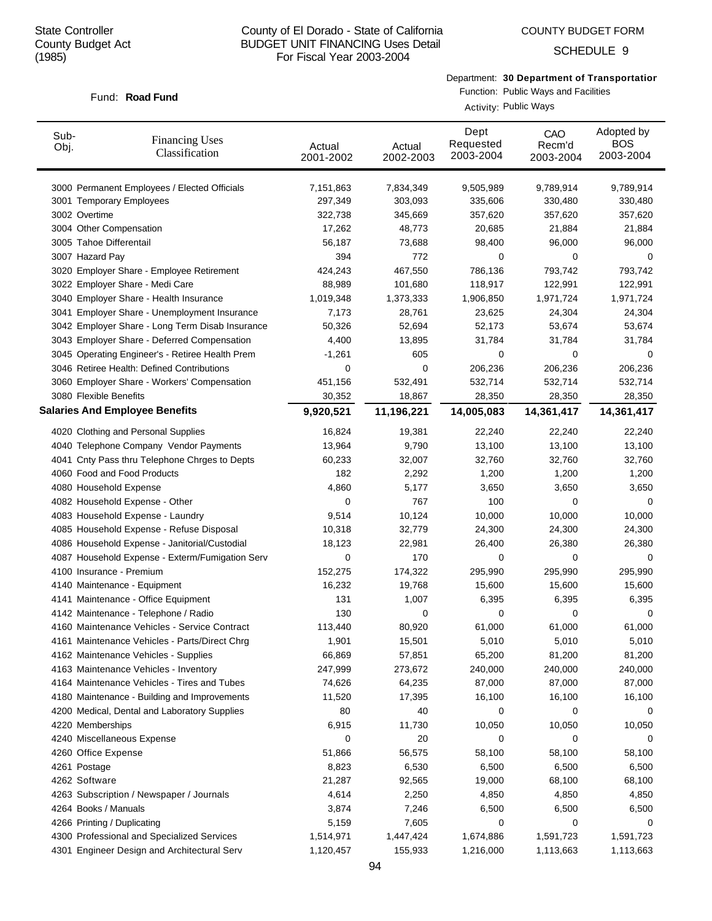Fund: **Road Fund** 

# County of El Dorado - State of California BUDGET UNIT FINANCING Uses Detail For Fiscal Year 2003-2004

COUNTY BUDGET FORM

SCHEDULE 9

Department: **30 Department of Transportation**

# Function: Public Ways and Facilities

Activity: Public Ways

| Sub-<br>Obj. | <b>Financing Uses</b><br>Classification         | Actual<br>2001-2002 | Actual<br>2002-2003 | Dept<br>Requested<br>2003-2004 | CAO<br>Recm'd<br>2003-2004 | Adopted by<br><b>BOS</b><br>2003-2004 |
|--------------|-------------------------------------------------|---------------------|---------------------|--------------------------------|----------------------------|---------------------------------------|
|              | 3000 Permanent Employees / Elected Officials    | 7,151,863           | 7,834,349           | 9,505,989                      | 9,789,914                  | 9,789,914                             |
|              | 3001 Temporary Employees                        | 297,349             | 303,093             | 335,606                        | 330,480                    | 330,480                               |
|              | 3002 Overtime                                   | 322,738             | 345,669             | 357,620                        | 357,620                    | 357,620                               |
|              | 3004 Other Compensation                         | 17,262              | 48,773              | 20,685                         | 21,884                     | 21,884                                |
|              | 3005 Tahoe Differentail                         | 56,187              | 73,688              | 98,400                         | 96,000                     | 96,000                                |
|              | 3007 Hazard Pay                                 | 394                 | 772                 | 0                              | 0                          | 0                                     |
|              | 3020 Employer Share - Employee Retirement       | 424,243             | 467,550             | 786,136                        | 793,742                    | 793,742                               |
|              | 3022 Employer Share - Medi Care                 | 88,989              | 101,680             | 118,917                        | 122,991                    | 122,991                               |
|              | 3040 Employer Share - Health Insurance          | 1,019,348           | 1,373,333           | 1,906,850                      | 1,971,724                  | 1,971,724                             |
|              | 3041 Employer Share - Unemployment Insurance    | 7,173               | 28,761              | 23,625                         | 24,304                     | 24,304                                |
|              | 3042 Employer Share - Long Term Disab Insurance | 50,326              | 52,694              | 52,173                         | 53,674                     | 53,674                                |
|              | 3043 Employer Share - Deferred Compensation     | 4,400               | 13,895              | 31,784                         | 31,784                     | 31,784                                |
|              | 3045 Operating Engineer's - Retiree Health Prem | $-1,261$            | 605                 | 0                              | 0                          | 0                                     |
|              | 3046 Retiree Health: Defined Contributions      | 0                   | 0                   | 206,236                        | 206,236                    | 206,236                               |
|              | 3060 Employer Share - Workers' Compensation     | 451,156             | 532,491             | 532,714                        | 532,714                    | 532,714                               |
|              | 3080 Flexible Benefits                          | 30,352              | 18,867              | 28,350                         | 28,350                     | 28,350                                |
|              | <b>Salaries And Employee Benefits</b>           | 9,920,521           | 11,196,221          | 14,005,083                     | 14,361,417                 | 14,361,417                            |
|              | 4020 Clothing and Personal Supplies             | 16,824              | 19,381              | 22,240                         | 22,240                     | 22,240                                |
|              | 4040 Telephone Company Vendor Payments          | 13,964              | 9,790               | 13,100                         | 13,100                     | 13,100                                |
|              | 4041 Cnty Pass thru Telephone Chrges to Depts   | 60,233              | 32,007              | 32,760                         | 32,760                     | 32,760                                |
|              | 4060 Food and Food Products                     | 182                 | 2,292               | 1,200                          | 1,200                      | 1,200                                 |
|              | 4080 Household Expense                          | 4,860               | 5,177               | 3,650                          | 3,650                      | 3,650                                 |
|              | 4082 Household Expense - Other                  | 0                   | 767                 | 100                            | 0                          | 0                                     |
|              | 4083 Household Expense - Laundry                | 9,514               | 10,124              | 10,000                         | 10,000                     | 10,000                                |
|              | 4085 Household Expense - Refuse Disposal        | 10,318              | 32,779              | 24,300                         | 24,300                     | 24,300                                |
|              | 4086 Household Expense - Janitorial/Custodial   | 18,123              | 22,981              | 26,400                         | 26,380                     | 26,380                                |
|              | 4087 Household Expense - Exterm/Fumigation Serv | 0                   | 170                 | 0                              | 0                          | 0                                     |
|              | 4100 Insurance - Premium                        | 152,275             | 174,322             | 295,990                        | 295,990                    | 295,990                               |
|              | 4140 Maintenance - Equipment                    | 16,232              | 19,768              | 15,600                         | 15,600                     | 15,600                                |
|              | 4141 Maintenance - Office Equipment             | 131                 | 1,007               | 6,395                          | 6,395                      | 6,395                                 |
|              | 4142 Maintenance - Telephone / Radio            | 130                 | 0                   | 0                              | 0                          | 0                                     |
|              | 4160 Maintenance Vehicles - Service Contract    | 113,440             | 80,920              | 61,000                         | 61,000                     | 61,000                                |
|              | 4161 Maintenance Vehicles - Parts/Direct Chrg   | 1,901               | 15,501              | 5,010                          | 5,010                      | 5,010                                 |
|              | 4162 Maintenance Vehicles - Supplies            | 66,869              | 57,851              | 65,200                         | 81,200                     | 81,200                                |
|              | 4163 Maintenance Vehicles - Inventory           | 247,999             | 273,672             | 240,000                        | 240,000                    | 240,000                               |
|              | 4164 Maintenance Vehicles - Tires and Tubes     | 74,626              | 64,235              | 87,000                         | 87,000                     | 87,000                                |
|              | 4180 Maintenance - Building and Improvements    | 11,520              | 17,395              | 16,100                         | 16,100                     | 16,100                                |
|              | 4200 Medical, Dental and Laboratory Supplies    | 80                  | 40                  | 0                              | 0                          | 0                                     |
|              | 4220 Memberships                                | 6,915               | 11,730              | 10,050                         | 10,050                     | 10,050                                |
|              | 4240 Miscellaneous Expense                      | 0                   | 20                  | 0                              | 0                          | 0                                     |
|              | 4260 Office Expense                             | 51,866              | 56,575              | 58,100                         | 58,100                     | 58,100                                |
|              | 4261 Postage                                    | 8,823               | 6,530               | 6,500                          | 6,500                      | 6,500                                 |
|              | 4262 Software                                   | 21,287              | 92,565              | 19,000                         | 68,100                     | 68,100                                |
|              | 4263 Subscription / Newspaper / Journals        | 4,614               | 2,250               | 4,850                          | 4,850                      | 4,850                                 |
|              | 4264 Books / Manuals                            | 3,874               | 7,246               | 6,500                          | 6,500                      | 6,500                                 |
|              | 4266 Printing / Duplicating                     | 5,159               | 7,605               | 0                              | 0                          | 0                                     |
|              | 4300 Professional and Specialized Services      | 1,514,971           | 1,447,424           | 1,674,886                      | 1,591,723                  | 1,591,723                             |
|              | 4301 Engineer Design and Architectural Serv     | 1,120,457           | 155,933             | 1,216,000                      | 1,113,663                  | 1,113,663                             |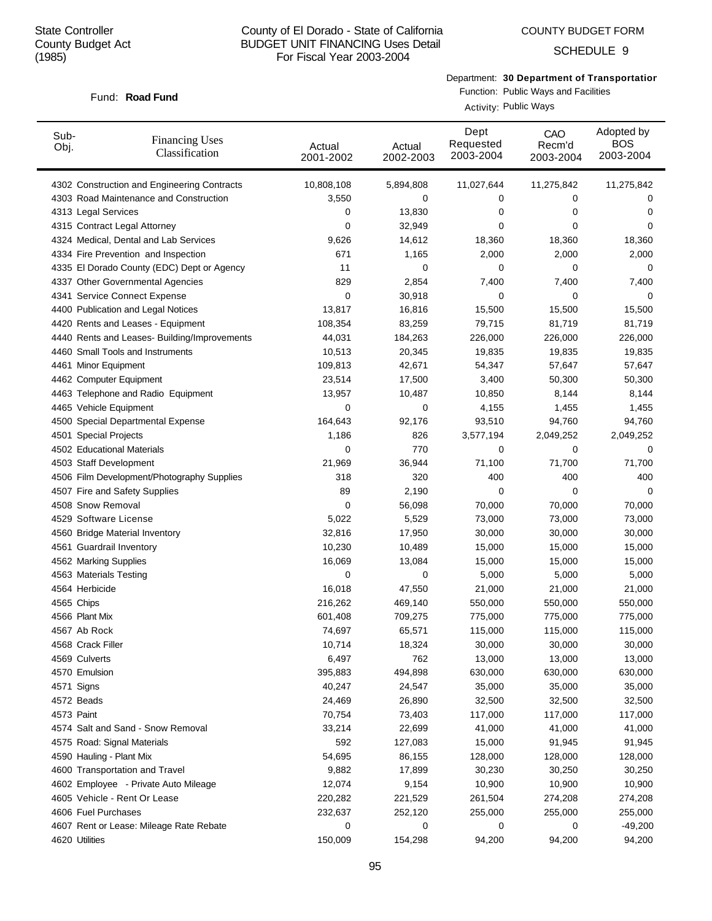## County of El Dorado - State of California BUDGET UNIT FINANCING Uses Detail For Fiscal Year 2003-2004

COUNTY BUDGET FORM

SCHEDULE 9

Department: **30 Department of Transportation**

### Fund: **Road Fund**

Function: Public Ways and Facilities Activity: Public Ways

| Sub-<br>Obj.             | <b>Financing Uses</b><br>Classification      | Actual<br>2001-2002 | Actual<br>2002-2003 | Dept<br>Requested<br>2003-2004 | CAO<br>Recm'd<br>2003-2004 | Adopted by<br><b>BOS</b><br>2003-2004 |
|--------------------------|----------------------------------------------|---------------------|---------------------|--------------------------------|----------------------------|---------------------------------------|
|                          | 4302 Construction and Engineering Contracts  | 10,808,108          | 5,894,808           | 11,027,644                     | 11,275,842                 | 11,275,842                            |
|                          | 4303 Road Maintenance and Construction       | 3,550               | 0                   | 0                              | 0                          | 0                                     |
| 4313 Legal Services      |                                              | 0                   | 13,830              | 0                              | 0                          | 0                                     |
|                          | 4315 Contract Legal Attorney                 | 0                   | 32,949              | 0                              | 0                          | 0                                     |
|                          | 4324 Medical, Dental and Lab Services        | 9,626               | 14,612              | 18,360                         | 18,360                     | 18,360                                |
|                          | 4334 Fire Prevention and Inspection          | 671                 | 1,165               | 2,000                          | 2,000                      | 2,000                                 |
|                          | 4335 El Dorado County (EDC) Dept or Agency   | 11                  | 0                   | 0                              | 0                          | 0                                     |
|                          | 4337 Other Governmental Agencies             | 829                 | 2,854               | 7,400                          | 7,400                      | 7,400                                 |
|                          | 4341 Service Connect Expense                 | 0                   | 30,918              | 0                              | 0                          | 0                                     |
|                          | 4400 Publication and Legal Notices           | 13,817              | 16,816              | 15,500                         | 15,500                     | 15,500                                |
|                          | 4420 Rents and Leases - Equipment            | 108,354             | 83,259              | 79,715                         | 81,719                     | 81,719                                |
|                          | 4440 Rents and Leases- Building/Improvements | 44,031              | 184,263             | 226,000                        | 226,000                    | 226,000                               |
|                          | 4460 Small Tools and Instruments             | 10,513              | 20,345              | 19,835                         | 19,835                     | 19,835                                |
| 4461 Minor Equipment     |                                              | 109,813             | 42,671              | 54,347                         | 57,647                     | 57,647                                |
| 4462 Computer Equipment  |                                              | 23,514              | 17,500              | 3,400                          | 50,300                     | 50,300                                |
|                          | 4463 Telephone and Radio Equipment           | 13,957              | 10,487              | 10,850                         | 8,144                      | 8,144                                 |
| 4465 Vehicle Equipment   |                                              | 0                   | 0                   | 4,155                          | 1,455                      | 1,455                                 |
|                          | 4500 Special Departmental Expense            | 164,643             | 92,176              | 93,510                         | 94,760                     | 94,760                                |
| 4501 Special Projects    |                                              | 1,186               | 826                 | 3,577,194                      | 2,049,252                  | 2,049,252                             |
|                          | 4502 Educational Materials                   | 0                   | 770                 | 0                              | 0                          | 0                                     |
| 4503 Staff Development   |                                              | 21,969              | 36,944              | 71,100                         | 71,700                     | 71,700                                |
|                          | 4506 Film Development/Photography Supplies   | 318                 | 320                 | 400                            | 400                        | 400                                   |
|                          | 4507 Fire and Safety Supplies                | 89                  | 2,190               | 0                              | $\mathbf 0$                | 0                                     |
| 4508 Snow Removal        |                                              | 0                   | 56,098              | 70,000                         | 70,000                     | 70,000                                |
| 4529 Software License    |                                              | 5,022               | 5,529               | 73,000                         | 73,000                     | 73,000                                |
|                          | 4560 Bridge Material Inventory               | 32,816              | 17,950              | 30,000                         | 30,000                     | 30,000                                |
| 4561 Guardrail Inventory |                                              | 10,230              | 10,489              | 15,000                         | 15,000                     | 15,000                                |
| 4562 Marking Supplies    |                                              | 16,069              | 13,084              | 15,000                         | 15,000                     | 15,000                                |
| 4563 Materials Testing   |                                              | 0                   | 0                   | 5,000                          | 5,000                      | 5,000                                 |
| 4564 Herbicide           |                                              | 16,018              | 47,550              | 21,000                         | 21,000                     | 21,000                                |
| 4565 Chips               |                                              | 216,262             | 469,140             | 550,000                        | 550,000                    | 550,000                               |
| 4566 Plant Mix           |                                              | 601,408             | 709,275             | 775,000                        | 775,000                    | 775,000                               |
| 4567 Ab Rock             |                                              | 74,697              | 65,571              | 115,000                        | 115,000                    | 115,000                               |
| 4568 Crack Filler        |                                              | 10,714              | 18,324              | 30,000                         | 30,000                     | 30,000                                |
| 4569 Culverts            |                                              | 6,497               | 762                 | 13,000                         | 13,000                     | 13,000                                |
| 4570 Emulsion            |                                              | 395,883             | 494,898             | 630,000                        | 630,000                    | 630,000                               |
| 4571 Signs               |                                              | 40,247              | 24,547              | 35,000                         | 35,000                     | 35,000                                |
| 4572 Beads               |                                              | 24,469              | 26,890              | 32,500                         | 32,500                     | 32,500                                |
| 4573 Paint               |                                              | 70,754              | 73,403              | 117,000                        | 117,000                    | 117,000                               |
|                          | 4574 Salt and Sand - Snow Removal            | 33,214              | 22,699              | 41,000                         | 41,000                     | 41,000                                |
|                          | 4575 Road: Signal Materials                  | 592                 | 127,083             | 15,000                         | 91,945                     | 91,945                                |
| 4590 Hauling - Plant Mix |                                              | 54,695              | 86,155              | 128,000                        | 128,000                    | 128,000                               |
|                          | 4600 Transportation and Travel               | 9,882               | 17,899              | 30,230                         | 30,250                     | 30,250                                |
|                          | 4602 Employee - Private Auto Mileage         | 12,074              | 9,154               | 10,900                         | 10,900                     | 10,900                                |
|                          | 4605 Vehicle - Rent Or Lease                 | 220,282             | 221,529             | 261,504                        | 274,208                    | 274,208                               |
| 4606 Fuel Purchases      |                                              | 232,637             | 252,120             | 255,000                        | 255,000                    | 255,000                               |
|                          | 4607 Rent or Lease: Mileage Rate Rebate      | 0                   | 0                   | 0                              | 0                          | $-49,200$                             |
| 4620 Utilities           |                                              | 150,009             | 154,298             | 94,200                         | 94,200                     | 94,200                                |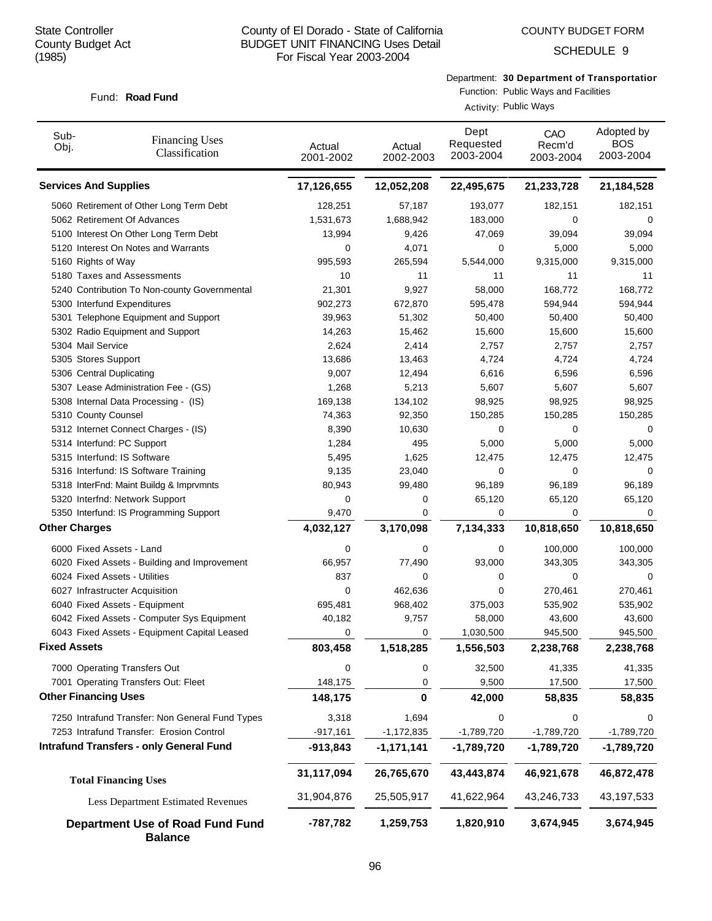Fund: **Road Fund** 

### County of El Dorado - State of California BUDGET UNIT FINANCING Uses Detail For Fiscal Year 2003-2004

SCHEDULE 9

## Department: **30 Department of Transportation**

# Function: Public Ways and Facilities

Activity: Public Ways

| Sub-<br>Obj.                 | <b>Financing Uses</b><br>Classification                   | Actual<br>2001-2002 | Actual<br>2002-2003 | Dept<br>Requested<br>2003-2004 | CAO<br>Recm'd<br>2003-2004 | Adopted by<br><b>BOS</b><br>2003-2004 |
|------------------------------|-----------------------------------------------------------|---------------------|---------------------|--------------------------------|----------------------------|---------------------------------------|
| <b>Services And Supplies</b> |                                                           | 17,126,655          | 12,052,208          | 22,495,675                     | 21,233,728                 | 21,184,528                            |
|                              | 5060 Retirement of Other Long Term Debt                   | 128,251             | 57,187              | 193,077                        | 182,151                    | 182,151                               |
|                              | 5062 Retirement Of Advances                               | 1,531,673           | 1,688,942           | 183,000                        | 0                          | 0                                     |
|                              | 5100 Interest On Other Long Term Debt                     | 13,994              | 9,426               | 47,069                         | 39,094                     | 39,094                                |
|                              | 5120 Interest On Notes and Warrants                       | 0                   | 4,071               | 0                              | 5,000                      | 5,000                                 |
| 5160 Rights of Way           |                                                           | 995,593             | 265,594             | 5,544,000                      | 9,315,000                  | 9,315,000                             |
|                              | 5180 Taxes and Assessments                                | 10                  | 11                  | 11                             | 11                         | 11                                    |
|                              | 5240 Contribution To Non-county Governmental              | 21,301              | 9,927               | 58,000                         | 168,772                    | 168,772                               |
|                              | 5300 Interfund Expenditures                               | 902,273             | 672,870             | 595,478                        | 594,944                    | 594,944                               |
|                              | 5301 Telephone Equipment and Support                      | 39,963              | 51,302              | 50,400                         | 50,400                     | 50,400                                |
|                              | 5302 Radio Equipment and Support                          | 14,263              | 15,462              | 15,600                         | 15,600                     | 15,600                                |
| 5304 Mail Service            |                                                           | 2,624               | 2,414               | 2,757                          | 2,757                      | 2,757                                 |
| 5305 Stores Support          |                                                           | 13,686              | 13,463              | 4,724                          | 4,724                      | 4,724                                 |
| 5306 Central Duplicating     |                                                           | 9,007               | 12,494              | 6,616                          | 6,596                      | 6,596                                 |
|                              | 5307 Lease Administration Fee - (GS)                      | 1,268               | 5,213               | 5,607                          | 5,607                      | 5,607                                 |
|                              | 5308 Internal Data Processing - (IS)                      | 169,138             | 134,102             | 98,925                         | 98,925                     | 98,925                                |
| 5310 County Counsel          |                                                           | 74,363              | 92,350              | 150,285                        | 150,285                    | 150,285                               |
|                              | 5312 Internet Connect Charges - (IS)                      | 8,390               | 10,630              | 0                              | 0                          | 0                                     |
|                              | 5314 Interfund: PC Support<br>5315 Interfund: IS Software | 1,284<br>5,495      | 495<br>1,625        | 5,000                          | 5,000<br>12,475            | 5,000<br>12,475                       |
|                              | 5316 Interfund: IS Software Training                      | 9,135               | 23,040              | 12,475<br>0                    | 0                          | 0                                     |
|                              | 5318 InterFnd: Maint Buildg & Imprvmnts                   | 80,943              | 99,480              | 96,189                         | 96,189                     | 96,189                                |
|                              | 5320 Interfnd: Network Support                            | 0                   | 0                   | 65,120                         | 65,120                     | 65,120                                |
|                              | 5350 Interfund: IS Programming Support                    | 9,470               | 0                   | 0                              | 0                          | 0                                     |
| <b>Other Charges</b>         |                                                           | 4,032,127           | 3,170,098           | 7,134,333                      | 10,818,650                 | 10,818,650                            |
|                              |                                                           |                     |                     |                                |                            |                                       |
|                              | 6000 Fixed Assets - Land                                  | 0                   | 0                   | 0                              | 100,000                    | 100,000                               |
|                              | 6020 Fixed Assets - Building and Improvement              | 66,957              | 77,490              | 93,000                         | 343,305                    | 343,305                               |
|                              | 6024 Fixed Assets - Utilities                             | 837                 | 0                   | 0                              | 0                          | 0                                     |
|                              | 6027 Infrastructer Acquisition                            | 0                   | 462,636             | $\mathbf 0$                    | 270,461                    | 270,461                               |
|                              | 6040 Fixed Assets - Equipment                             | 695,481             | 968,402             | 375,003                        | 535,902                    | 535,902                               |
|                              | 6042 Fixed Assets - Computer Sys Equipment                | 40,182              | 9,757               | 58,000                         | 43,600                     | 43,600                                |
|                              | 6043 Fixed Assets - Equipment Capital Leased              | 0                   | 0                   | 1,030,500                      | 945,500                    | 945,500                               |
| <b>Fixed Assets</b>          |                                                           | 803,458             | 1,518,285           | 1,556,503                      | 2,238,768                  | 2,238,768                             |
|                              | 7000 Operating Transfers Out                              | 0                   | 0                   | 32,500                         | 41,335                     | 41,335                                |
|                              | 7001 Operating Transfers Out: Fleet                       | 148,175             | $\mathbf 0$         | 9,500                          | 17,500                     | 17,500                                |
| <b>Other Financing Uses</b>  |                                                           | 148,175             | 0                   | 42,000                         | 58,835                     | 58,835                                |
|                              | 7250 Intrafund Transfer: Non General Fund Types           | 3,318               | 1,694               | 0                              | 0                          | 0                                     |
|                              | 7253 Intrafund Transfer: Erosion Control                  | $-917,161$          | $-1,172,835$        | $-1,789,720$                   | $-1,789,720$               | $-1,789,720$                          |
|                              | <b>Intrafund Transfers - only General Fund</b>            | $-913,843$          | $-1,171,141$        | $-1,789,720$                   | $-1,789,720$               | $-1,789,720$                          |
|                              | <b>Total Financing Uses</b>                               | 31,117,094          | 26,765,670          | 43,443,874                     | 46,921,678                 | 46,872,478                            |
|                              | Less Department Estimated Revenues                        | 31,904,876          | 25,505,917          | 41,622,964                     | 43,246,733                 | 43,197,533                            |
|                              | Department Use of Road Fund Fund<br><b>Balance</b>        | -787,782            | 1,259,753           | 1,820,910                      | 3,674,945                  | 3,674,945                             |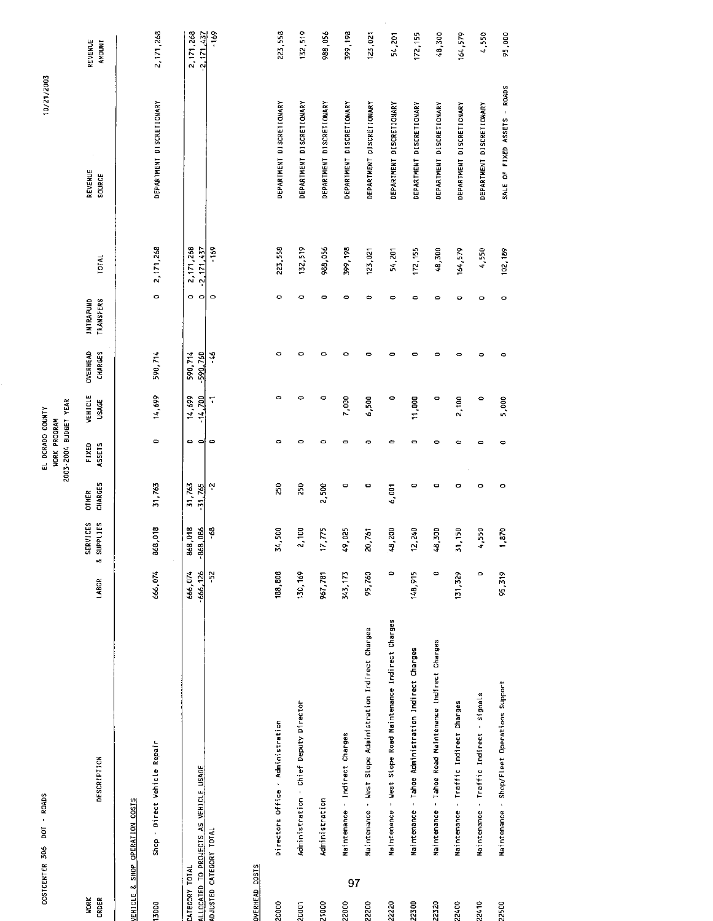| COSTCENTER 306              | DOI - ROADS                                                |                       |                                         |                         | EL DORADO COUNTY                             |                         |                     |                                      |                          | 10/21/2003                   |                             |
|-----------------------------|------------------------------------------------------------|-----------------------|-----------------------------------------|-------------------------|----------------------------------------------|-------------------------|---------------------|--------------------------------------|--------------------------|------------------------------|-----------------------------|
|                             |                                                            |                       |                                         |                         | 2003-2004 BUDGET YEAR<br><b>JORK PROGRAM</b> |                         |                     |                                      |                          |                              |                             |
| <b>NORK</b><br><b>ORDER</b> | DESCRIPTION                                                | LABOR                 | SERVICES<br>& SUPPLIES                  | CHARGES<br><b>OTHER</b> | ASSETS<br>FIXED                              | VEHICLE<br><b>USAGE</b> | OVERHEAD<br>CHARGES | <b>INTRAFUND</b><br><b>TRANSFERS</b> | TOTAL                    | REVENUE<br><b>SOURCE</b>     | REVENUE<br>AMOUNT           |
|                             | VEHICLE & SHOP OPERATION COSTS                             |                       |                                         |                         |                                              |                         |                     |                                      |                          |                              |                             |
| 13000                       | Shop - Direct Vehicle Repair                               | 666,074               | 868,018                                 | 31,763                  | $\circ$                                      | 14,699                  | 590,714             | $\bullet$                            | 2, 171, 268              | DEPARTMENT DISCRETIONARY     | 2, 171, 268                 |
| CATEGORY TOTAL              | ALLOCATED TO PROJECTS AS VEHICLE USAGE                     | $-666,126$<br>666,074 | <b>B.018</b><br>1,086<br>868<br>$-8.58$ | 31763<br>31.765         | $\bullet$<br>$\blacksquare$                  | 14,699<br>14,700        | 590,714<br>590,760  | $\circ$<br>$\circ$                   | 2, 171, 268<br>2,171,437 |                              | 2,171,268<br>$-2, 171, 437$ |
| ADJUSTED CATEGORY TOTAL     |                                                            | $\sim$                | Ş                                       | Ņ                       | $\circ$                                      | $\mathbf{r}$            | $\frac{1}{2}$       | $\circ$                              | -169                     |                              | $-169$                      |
| <b>OVERHEAD COSTS</b>       |                                                            |                       |                                         |                         |                                              |                         |                     |                                      |                          |                              |                             |
| 20000                       | Directors Office - Administration                          | 188,808               | 34,500                                  | $\overline{50}$         | ۰                                            | ۰                       | 0                   | ۰                                    | 225,558                  | DEPARTMENT DISCRETIONARY     | 223,558                     |
| 20001                       | Administration - Chief Deputy Director                     | 130,169               | 2,100                                   | 250                     | 0                                            | 0                       | 0                   | ۰                                    | 132,519                  | DEPARTMENT DISCRETIONARY     | 132,519                     |
| 21000                       | Administration                                             | 967,781               | ë.<br>Þ                                 | 2,500                   | 0                                            | 0                       | ۰                   | $\circ$                              | 988,056                  | DEPARTMENT DISCRETIONARY     | 988,056                     |
| 97<br>22000                 | Maintenance - Indirect Charges                             | 343, 173              | <sup>220</sup><br>Ş                     | $\bullet$               | $\circ$                                      | 7,000                   | ٥                   | $\circ$                              | 399,198                  | DEPARTMENT DISCRETIONARY     | 399, 198                    |
| 22200                       | Maintenance - West Slope Administration Indirect Charges   | 95,760                | 20,761                                  | $\bullet$               | 0                                            | 6,500                   | ۰                   | $\ddot{\phantom{1}}$                 | 123,021                  | DEPARTMENT DISCRETIONARY     | 123,021                     |
| 22220                       | Maintenance - West Slope Road Maintenance Indirect Charges | $\circ$               | 200<br>S                                | 6,001                   | ٥                                            | 0                       | 0                   | $\circ$                              | 54,201                   | DEPARTMENT DISCRETIONARY     | 54,201                      |
| 22300                       | Maintenance - Tahoe Administration Indirect Charges        | 148,915               | , 240<br>پ                              | $\bullet$               | $\mathbf{\Omega}$                            | 11,000                  | 0                   | ō                                    | 172, 155                 | DEPARTMENT DISCRETIONARY     | 172, 155                    |
| 22320                       | Maintenance - Tahoe Road Maintenance Indirect Charges      | $\circ$               | 48,300                                  | $\circ$                 | ۰                                            | $\mathbf{\circ}$        | o                   | $\circ$                              | 48,300                   | DEPARTMENT DISCRETIONARY     | 48,300                      |
| 22400                       | Maintenance - Traffic Indirect Charges                     | 131,329               | 31,150                                  | 0                       | ۰                                            | 2,100                   | O                   | 0                                    | 164,579                  | DEPARTMENT DISCRETIONARY     | 164, 579                    |
| 22410                       | Maintenance - Traffic Indirect - Signals                   | $\circ$               | 550                                     | $\bullet$               | $\bullet$                                    | 0                       | ۰                   | $\circ$                              | 4,550                    | DEPARTMENT DISCRETIONARY     | 4,550                       |
| 2500                        | Maintenance - Shop/Fleet Operations Support                | 95,319                | $\frac{5}{2}$                           | $\bullet$               | 0                                            | 5,000                   | 0                   | $\circ$                              | 102,189                  | SALE OF FIXED ASSETS - ROADS | 95,000                      |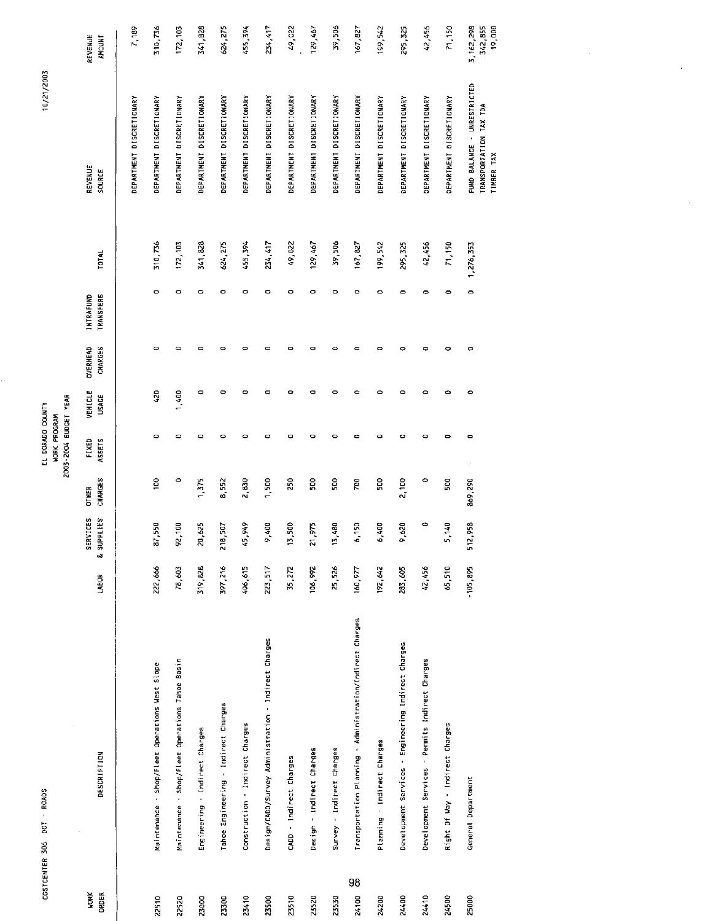| COSTCENTER 306       | DOT - ROADS                                               |            |                               |                         | EL DORADO COUNTY                             |                  |                            |                               |              | 10/21/2003                                                          |                                  |
|----------------------|-----------------------------------------------------------|------------|-------------------------------|-------------------------|----------------------------------------------|------------------|----------------------------|-------------------------------|--------------|---------------------------------------------------------------------|----------------------------------|
|                      |                                                           |            |                               |                         | 2003-2004 BUDGET YEAR<br><b>WORK PROGRAM</b> |                  |                            |                               |              |                                                                     |                                  |
| <b>WORK</b><br>ORDER | <b>DESCRIPTION</b>                                        | LABOR      | <b>SERVICES</b><br>& SUPPLIES | CHARGES<br><b>OTHER</b> | FIXED<br>ASSETS                              | VEHICLE<br>USAGE | <b>OVERHEAD</b><br>CHARGES | <b>TRANSFERS</b><br>INTRAFUND | <b>TOTAL</b> | REVENUE<br>SOURCE                                                   | REVENUE<br><b>AMOUNT</b>         |
|                      |                                                           |            |                               |                         |                                              |                  |                            |                               |              |                                                                     |                                  |
|                      |                                                           |            |                               |                         |                                              |                  |                            |                               |              | DEPARTMENT DISCRETIONARY                                            | 7.189                            |
| 22510                | Maintenance - Shop/Fleet Operations West Slope            | 222,666    | 87,550                        | Sol                     | ۰                                            | 420              | $\circ$                    | $\circ$                       | 310,736      | DEPARTMENT DISCRETIONARY                                            | 710.776                          |
| 22520                | Maintenance - Shop/Fleet Operations Tahoe Basin           | 78,603     | 92,100                        | 0                       | $\circ$                                      | 1,400            | $\circ$                    | $\circ$                       | 172, 107     | DEPARTMENT DISCRETIONARY                                            | 172,103                          |
| 23000                | Engineering - Indirect Charges                            | 319,828    | 20,625                        | 1,375                   | ۰                                            | $\bullet$        | $\circ$                    | $\circ$                       | 341,828      | DEPARTMENT DISCRETIONARY                                            | 341,828                          |
| 23300                | Tahoe Engineering - Indirect Charges                      | 397,216    | 218,507                       | 8,552                   | ۰                                            | $\bullet$        | 0                          | $\circ$                       | 624, 275     | DEPARTMENT DISCRETIONARY                                            | 624,275                          |
| 23410                | Construction - Indirect Charges                           | 406,615    | 45,949                        | 2,830                   | ۰                                            | ۰                | 0                          | 0                             | 455,394      | DEPARTMENT DISCRETIONARY                                            | 455,394                          |
| 23500                | Design/CADD/Survey Administration - Indirect Charges      | 223,517    | 9,400                         | 1,500                   | ۰                                            | ۰                | 0                          | 0                             | 234,417      | DEPARTMENT DISCRETIONARY                                            | 234,417                          |
| 23510                | CADD - Indirect Charges                                   | 35,272     | 13,500                        | $\overline{50}$         | ۰                                            | $\bullet$        | $\bullet$                  | $\circ$                       | 49,022       | DEPARTMENT DISCRETIONARY                                            | 49,022                           |
| 23520                | Design - Indirect Charges                                 | 106,992    | 21,975                        | $\rm ^{50}$             | $\circ$                                      | ۰                | $\circ$                    | $\circ$                       | 129,467      | DEPARTMENT DISCRETIONARY                                            | 129,467                          |
| 23530                | Survey - Indirect Charges                                 | 25,526     | 13,480                        | 500                     | ۰                                            | $\bullet$        | ۰                          | $\circ$                       | 39,506       | DEPARTMENT DISCRETIONARY                                            | 39,506                           |
| 98<br>24100          | Transportation Planning - Administration/Indirect Charges | 160,977    | 6,150                         | 700                     | ۰                                            | $\bullet$        | $\bullet$                  | $\circ$                       | 167.827      | DEPARIMENT DISCRETIONARY                                            | 167,827                          |
| 24200                | Planning - Indirect Charges                               | 192,642    | 6,400                         | ន្ត                     | ٥                                            | $\circ$          | ۰                          | O                             | 199.542      | DEPARTMENT DISCRETIONARY                                            | 199,542                          |
| 24400                | Development Services - Engineering Indirect Charges       | 283,605    | 0.59 <sub>1</sub>             | 2,100                   | ۰                                            | $\bullet$        | ۰                          | $\bullet$                     | 295,325      | DEPARTMENT DISCRETIONARY                                            | 295,325                          |
| 24410                | Development Services - Permits Indirect Charges           | 42,456     | 0                             | ۰                       | $\mathbf{\Omega}$                            | $\circ$          | $\bullet$                  | 0                             | 42,456       | DEPARTMENT DISCRETIONARY                                            | 42,456                           |
| 24500                | Right Of Way - Indirect Charges                           | 65,510     | 5,140                         | 503                     | $\mathbf{C}$                                 | ۰                | ۰                          | 0                             | 71,150       | DEPARTMENT DISCRETIONARY                                            | 71,150                           |
| 25000                | General Department                                        | $-105,895$ | 512,958                       | 869,290                 | $\blacksquare$                               | $\bullet$        | $\blacksquare$             | $\circ$                       | 1,276,352    | FUND BALANCE - UNRESTRICTED<br>TRANSPORTATION TAX TDA<br>TIMBER TAX | 3, 162, 298<br>342,855<br>19,000 |

 $\hat{\mathcal{A}}$ 

 $\hat{\boldsymbol{\beta}}$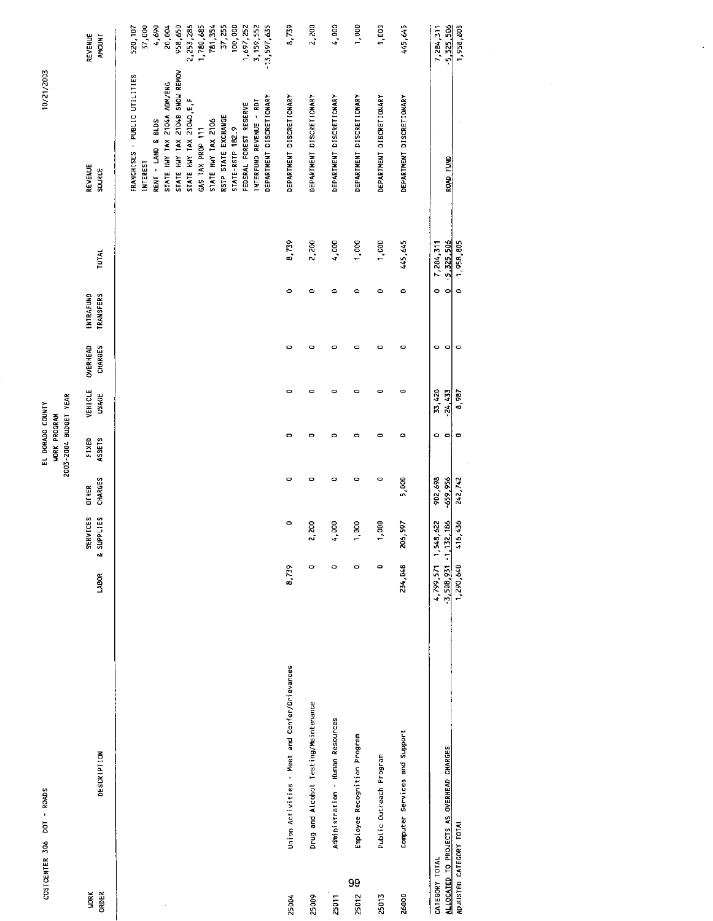|                                         |                       | REVENUE<br>AMOUNT                    | 100,000<br>1,697,252<br>958,650<br>781,354<br>37,255<br>$3,159,552$<br>$-13,597,635$<br>37,000<br>069'7<br>20,004<br>2, 253, 286<br>1,780,685<br>520,107                                                                                                                                                                                  | 8,739                                         | 2,200                                | 4,000                            | 1,000                        | 1,000                    | 445,645                       | 1,958,805<br>7,284,311<br>5, 325, 306          |
|-----------------------------------------|-----------------------|--------------------------------------|-------------------------------------------------------------------------------------------------------------------------------------------------------------------------------------------------------------------------------------------------------------------------------------------------------------------------------------------|-----------------------------------------------|--------------------------------------|----------------------------------|------------------------------|--------------------------|-------------------------------|------------------------------------------------|
| 10/21/2003                              |                       | REVENUE<br><b>SOURCE</b>             | STATE HWY TAX 2104B SNOW REMOV<br>FRANCHISES + PUBLIC UTILITIES<br>STATE HWY TAX 2104A ADM/ENG<br>DEPARTMENT DISCRETIONARY<br>STATE HWY TAX 21040, E.F<br>INTERFUND REVENUE - RDT<br>FEDERAL FOREST RESERVE<br>RSTP STATE EXCHANGE<br>RENT - LAND & BLDS<br>STATE INY TAX 2106<br>GAS TAX PROP 111<br>STATE-RSTP 182.9<br><b>INTEREST</b> | DEPARTMENT DISCRETIONARY                      | DEPARTMENT DISCRETIONARY             | DEPARTMENT DISCRETIONARY         | DEPARTMENT DISCRETIONARY     | DEPARTMENT DISCRETIONARY | DEPARTMENT DISCRETIONARY      | $\bar{z}$<br>ROAD FUND                         |
|                                         |                       | TOTAL                                |                                                                                                                                                                                                                                                                                                                                           | 8,739                                         | 2,200                                | 4,000                            | 1,000                        | 1,000                    | 445,645                       | 5,325,506<br>1,958,805<br>7,284,311            |
|                                         |                       | <b>TRANSFERS</b><br><b>INTRAFUND</b> |                                                                                                                                                                                                                                                                                                                                           | $\circ$                                       | $\circ$                              | $\circ$                          | $\circ$                      | $\circ$                  | $\circ$                       | $\circ$<br>$\circ$<br>$\circ$                  |
|                                         |                       | <b>OVERHEAD</b><br><b>CHARGES</b>    |                                                                                                                                                                                                                                                                                                                                           | $\bullet$                                     | $\circ$                              | $\circ$                          | $\circ$                      | $\mathbf{\circ}$         | $\bullet$                     | $\hbox{ }$<br>$\circ$<br>- ol                  |
|                                         |                       | VEHICLE<br>USAGE                     |                                                                                                                                                                                                                                                                                                                                           | $\circ$                                       | $\bullet$                            | $\circ$                          | $\bullet$                    | o                        | ۰                             | 33,420<br>24.433<br>8,987                      |
| EL DORADO COUNTY<br><b>WORK PROGRAM</b> | 2003-2004 BUDGET YEAR | ASSETS<br>FIXED                      |                                                                                                                                                                                                                                                                                                                                           | ۰                                             | ۰                                    | $\circ$                          | $\circ$                      | ۰                        | $\bullet$                     | $\bullet$<br>$\circ$<br>-⇔¦                    |
|                                         |                       | CHARGES<br><b>DTHER</b>              |                                                                                                                                                                                                                                                                                                                                           | $\circ$                                       | $\circ$                              | $\circ$                          | $\circ$                      | o                        | 5,000                         | 902,698<br>$-659,956$<br>242,742               |
|                                         |                       | SERVICES<br><b>&amp; SUPPLIES</b>    |                                                                                                                                                                                                                                                                                                                                           | $\circ$                                       | 30<br>$\ddot{ }$                     | g<br>÷                           | $\rm g$<br>÷                 | go<br>÷                  | 597<br>206,                   | 416,436<br>62<br>3,508,931 1,132,186<br>1,548, |
|                                         |                       | LABOR                                |                                                                                                                                                                                                                                                                                                                                           | 8,739                                         | $\bullet$                            | $\circ$                          | $\circ$                      | $\circ$                  | 234,048                       | 4,799,571<br>1,290,640                         |
| COSTCENTER 306 DOT - ROADS              |                       | <b>DESCRIPTION</b>                   |                                                                                                                                                                                                                                                                                                                                           | Union Activities - Meet and Confer/Grievances | Drug and Alcohol Testing/Maintenance | Administration - Human Resources | Employee Recognition Program | Public Outreach Program  | Computer Services and Support | ALLOCATED TO PROJECTS AS OVERHEAD CHARGES      |
|                                         |                       | <b>WORK</b><br>ORDER                 |                                                                                                                                                                                                                                                                                                                                           | 25004                                         | 25009                                | 25011                            | 99<br>25012                  | 25013                    | 26000                         | ADJUSTED CATEGORY TOTAL<br>CATEGORY TOTAL      |

 $\mathbb{R}^2$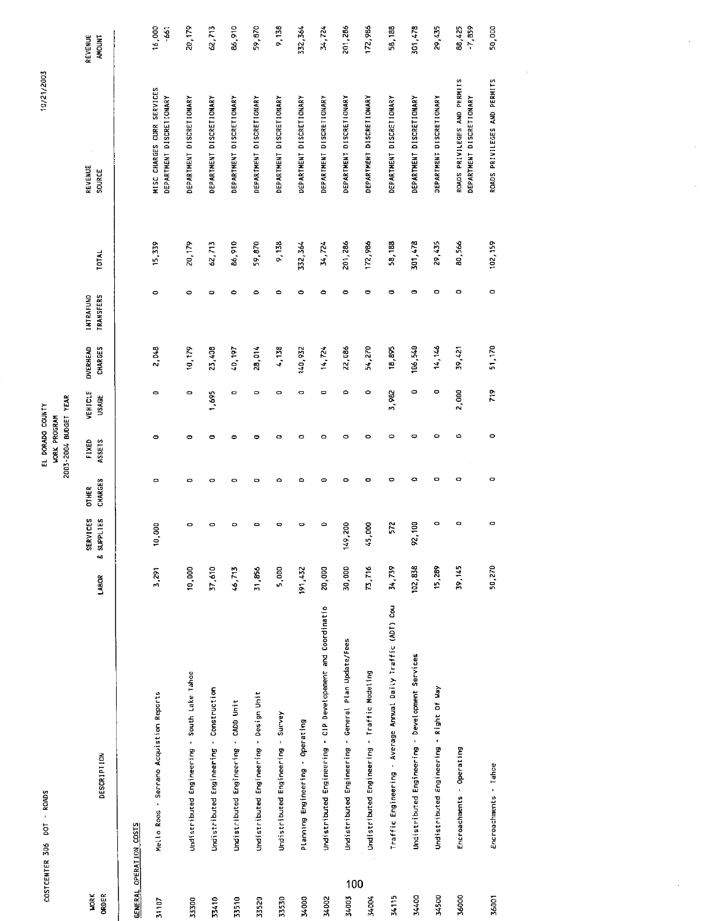| COSTCENTER 306          | <b>ROADS</b><br>$\mathbf{r}$<br><b>DO</b>                    |         |                            |                                | 2003-2004 BUDGET YEAR<br>EL DORADO COUNTY<br><b>WORK PROGRAM</b> |                         |                            |                                      |              | 10/21/2003                                               |                          |
|-------------------------|--------------------------------------------------------------|---------|----------------------------|--------------------------------|------------------------------------------------------------------|-------------------------|----------------------------|--------------------------------------|--------------|----------------------------------------------------------|--------------------------|
| ORDER<br><b>NORK</b>    | <b>DESCRIPTION</b>                                           | LABOR   | SERVICES<br>& SUPPLIES     | <b>CHARGES</b><br><b>OTHER</b> | <b>ASSETS</b><br><b>FIXED</b>                                    | VEHICLE<br><b>USAGE</b> | <b>OVERHEAD</b><br>CHARGES | <b>TRANSFERS</b><br><b>INTRAFUND</b> | <b>TOTAL</b> | REVENUE<br>SOURCE                                        | REVENUE<br><b>AMOUNT</b> |
| GENERAL OPERATION COSTS |                                                              |         |                            |                                |                                                                  |                         |                            |                                      |              |                                                          |                          |
| 31107                   | Mello Roos - Serrano Acquistion Reports                      | 3,291   | $\tilde{a}$<br><u>َء</u> ِ | $\circ$                        | ۰                                                                | $\bullet$               | 2.048                      | $\circ$                              | 15.339       | MISC CHARGES CURR SERVICES<br>DEPARTMENT DISCRETIONARY   | 16,000<br>$-661$         |
| 33300                   | Undistributed Engineering - South Lake Tahoe                 | 10,000  | 0                          | 0                              | 0                                                                | $\bullet$               | 10.179                     | ۰                                    | 20,179       | DEPARTMENT DISCRETIONARY                                 | 20,179                   |
| 33410                   | Undistributed Engineering - Construction                     | 37,610  | 0                          | ۰                              | 0                                                                | 1,695                   | 23,408                     | O                                    | 62,713       | DEPARTMENT DISCRETIONARY                                 | 62,713                   |
| 33510                   | Undistributed Engineering - CADD Unit                        | 46,713  | $\circ$                    | $\circ$                        | $\bullet$                                                        | ۰                       | 40,197                     | ٥                                    | 86,910       | DEPARTMENT DISCRETIONARY                                 | 86,910                   |
| 33520                   | Undistributed Engineering - Design Unit                      | 31,856  | $\blacksquare$             | ۰                              | 0                                                                | $\circ$                 | 28,014                     | $\circ$                              | 59,870       | DEPARTMENT DISCRETIONARY                                 | 59,870                   |
| 33530                   | Undistributed Engineering - Survey                           | 5,000   | $\blacksquare$             | $\circ$                        | $\circ$                                                          | $\circ$                 | 4,138                      | $\circ$                              | 9,136        | DEPARTMENT DISCRETIONARY                                 | 9,138                    |
| 34000                   | Planning Engineering - Operating                             | 191,432 | o                          | ۰                              | ۰                                                                | ۰                       | 140,932                    | 0                                    | 332, 364     | DEPARTMENT DISCRETIONARY                                 | 332, 364                 |
| 34002                   | Undistributed Engineering - CIP Developement and Coordinatio | 20,000  | 0                          | ۰                              | ۰                                                                | ۰                       | 14.724                     | $\circ$                              | 34,724       | DEPARTMENT DISCRETIONARY                                 | 34,724                   |
| 100<br>34003            | Undistributed Engineering - General Plan Update/Fees         | 30,000  | g<br>149,                  | $\circ$                        | $\circ$                                                          | $\circ$                 | 22,086                     | $\circ$                              | 201,286      | DEPARTMENT DISCRETIONARY                                 | 201,286                  |
| 34004                   | Undistributed Engineering - Traffic Modeling                 | 77.716  | g<br>45,                   | $\bullet$                      | ۰                                                                | $\circ$                 | 54,270                     | $\bullet$                            | 172,986      | DEPARTMENT DISCRETIONARY                                 | 172,986                  |
| 34115                   | Traffic Engineering - Average Annual Daily Traffic (ADT) Cou | 34,739  | ř.                         | $\bullet$                      | $\circ$                                                          | 3,982                   | 18,895                     | $\bullet$                            | 58,188       | DEPARTMENT DISCRETIONARY                                 | 58,188                   |
| 34400                   | Undistributed Engineering - Development Services             | 102,838 | g<br>S,                    | $\bullet$                      | ٠                                                                | ٥                       | 106,540                    | ٠                                    | 301,478      | DEPARTMENT DISCRETIONARY                                 | 301,478                  |
| 34500                   | Undistributed Engineering - Right Of Way                     | 15,289  | ۰                          | ۰                              | ۰                                                                | ۰                       | 14, 146                    | 0                                    | 29,435       | DEPARTMENT DISCRETIONARY                                 | 29,435                   |
| 36000                   | Encroachments - Operating                                    | 39,145  | 0                          | $\bullet$                      | $\circ$                                                          | 2,000                   | 39,421                     | 0                                    | 80,566       | ROADS PRIVILEGES AND PERMITS<br>DEPARTMENT DISCRETIONARY | 88,425<br>$-7,859$       |
| 36001                   | Encroachments - Tahoe                                        | 50,270  | 0                          | 0                              | $\bullet$                                                        | $\tilde{r}$             | 51,170                     | $\circ$                              | 102,159      | ROADS PRIVILEGES AND PERMITS                             | 50,000                   |
|                         |                                                              |         |                            |                                |                                                                  |                         |                            |                                      |              |                                                          |                          |

 $\sim$ 

 $\alpha$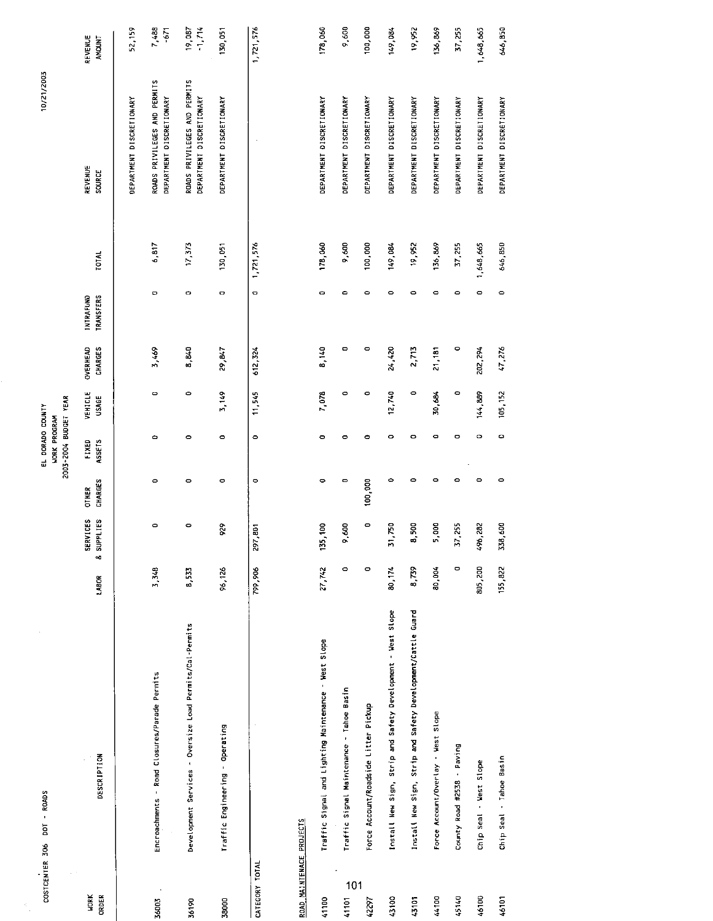| COSTCENTER 306           | DOT - ROADS                                                 |         |                                   |                         | 2003-2004 BUDGET YEAR<br>EL DORADO COUNTY<br><b>WORK PROGRAM</b> |                         |                            |                                      |              | 10/21/2003                                               |                          |
|--------------------------|-------------------------------------------------------------|---------|-----------------------------------|-------------------------|------------------------------------------------------------------|-------------------------|----------------------------|--------------------------------------|--------------|----------------------------------------------------------|--------------------------|
| <b>NORK</b><br>ORDER     | <b>DESCRIPTION</b>                                          | LABOR   | SERVICES<br><b>&amp; SUPPLIES</b> | CHARGES<br><b>OTHER</b> | FIXED<br>ASSETS                                                  | VEHICLE<br><b>USAGE</b> | <b>CHARGES</b><br>OVERHEAD | <b>TRANSFERS</b><br><b>INTRAFUND</b> | <b>FOTAL</b> | REVENUE<br>SOURCE                                        | REVENUE<br><b>AMOUNT</b> |
|                          |                                                             |         |                                   |                         |                                                                  |                         |                            |                                      |              | DEPARTMENT DISCRETIONARY                                 | 52,159                   |
| 36003                    | Encroachments - Road Closures/Parade Permits                | 3,348   | $\circ$                           | ٥                       | $\circ$                                                          | $\bullet$               | 3,469                      | $\mathbf{\circ}$                     | 6,817        | ROADS PRIVILEGES AND PERMITS<br>DEPARTMENT DISCRETIONARY | 7.488<br>$-671$          |
| 36190                    | Development Services - Oversize Load Permits/Cal-Permits    | 8,533   | 0                                 | 0                       | $\circ$                                                          | $\circ$                 | 8,840                      | ۰                                    | 17,377       | ROADS PRIVILEGES AND PERMITS<br>DEPARTMENT DISCRETIONARY | $-1.774$<br>19.087       |
| 38000                    | Traffic Engineering - Operating                             | 96,126  | 6.6                               | 0                       | 0                                                                | 3,149                   | 29,847                     | $\bullet$                            | 130,051      | DEPARTMENT DISCRETIONARY                                 | 130,051                  |
| CATEGORY TOTAL           |                                                             | 799,906 | 297,801                           | $\circ$                 | $\circ$                                                          | 11,545                  | 612,324                    | $\circ$                              | 1,721,576    |                                                          | 1,721,576                |
| ROAD MAINTENACE PROJECTS |                                                             |         |                                   |                         |                                                                  |                         |                            |                                      |              |                                                          |                          |
| 41100                    | Traffic Signal and Lighting Maintenance - West Slope        | 27,742  | 135,100                           | ۰                       | $\circ$                                                          | 7,078                   | 8,140                      | O                                    | 178,060      | DEPARTMENT DISCRETIONARY                                 | 178,060                  |
| 101<br>41101             | Traffic Signal Maintenance - Tahoe Basin                    | 0       | 9,600                             | 0                       | ۰                                                                | $\circ$                 | ۰                          | ۰                                    | 9,600        | DEPARTMENT DISCRETIONARY                                 | 9,600                    |
| 42297                    | Force Account/Roadside Litter Pickup                        | $\circ$ | $\circ$                           | 100,000                 | ۰                                                                | ۰                       | $\circ$                    | $\circ$                              | 100,000      | DEPARTMENT DISCRETIONARY                                 | 100,000                  |
| 43100                    | Install New Sign, Strip and Safety Development - West Slope | 80,174  | 1,750<br>m                        | ۰                       | $\circ$                                                          | 12,740                  | 24,420                     | $\circ$                              | 149,084      | DEPARTMENT DISCRETIONARY                                 | 149.084                  |
| 43101                    | Install New Sign, Strip and Safety Development/Cattle Guard | 8.79    | 8,500                             | $\bullet$               | $\bullet$                                                        | ۰                       | 2,713                      | $\circ$                              | 19,952       | DEPARTMENT DISCRETIONARY                                 | 19,952                   |
| 44100                    | Force Account/Overlay - West Slope                          | 80,004  | 5,000                             | 0                       | ¢                                                                | 30,684                  | 21,181                     | ۰                                    | 136,869      | DEPARTMENT DISCRETIONARY                                 | 136,869                  |
| 45140                    | County Road #2538 - Paving                                  | $\circ$ | 37,255                            | ۰                       | $\bullet$                                                        | $\circ$                 | $\circ$                    | 0                                    | 37,255       | DEPARTMENT DISCRETIONARY                                 | 37,255                   |
| 46100                    | Chip Seal - West Slope                                      | 805,200 | 496,282                           | $\circ$                 | $\circ$                                                          | 144,889                 | 202,294                    | $\circ$                              | 1,648,665    | DEPARTMENT DISCRETIONARY                                 | 1,648,665                |
| 46101                    | Chip Seal - Tahoe Basin                                     | 155,822 | 338,600                           | $\circ$                 | $\Rightarrow$                                                    | 105,152                 | 47,276                     | $\circ$                              | 646,850      | DEPARTMENT DISCRETIONARY                                 | 646,850                  |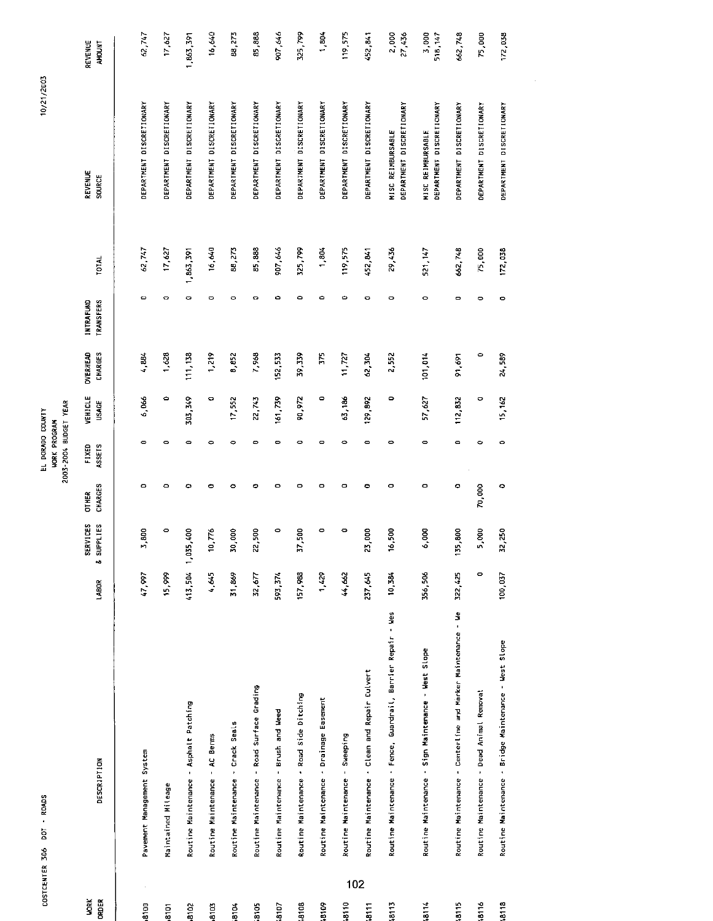| COSTCENTER 306   | - RDADS<br>DOT                             |                                                              |                   |                      |                | EL DORADO COUNTY                             |              |          |                  |              | 10/21/2003                                           |                  |
|------------------|--------------------------------------------|--------------------------------------------------------------|-------------------|----------------------|----------------|----------------------------------------------|--------------|----------|------------------|--------------|------------------------------------------------------|------------------|
|                  |                                            |                                                              |                   |                      |                | 2003-2004 BUDGET YEAR<br><b>WORK PROGRAM</b> |              |          |                  |              |                                                      |                  |
| <b>VORK</b>      |                                            |                                                              |                   | SERVICES             | <b>OTHER</b>   | FIXED                                        | VEHICLE      | OVERHEAD | <b>INTRAFUND</b> |              | <b>REVENUE</b>                                       | REVENUE          |
| <b>ORDER</b>     | DESCRIPTION                                |                                                              | LABOR             | & SUPPLIES           | <b>CHARGES</b> | ASSETS                                       | <b>USAGE</b> | CHARGES  | <b>TRANSFERS</b> | <b>TOTAL</b> | <b>SOURCE</b>                                        | <b>AMOUNT</b>    |
|                  |                                            |                                                              |                   |                      |                |                                              |              |          |                  |              |                                                      |                  |
| 8100             | Pavement Management System                 |                                                              | 166'17            | 3,800                | $\circ$        | $\bullet$                                    | 6,066        | 4,884    | ۰                | 62,747       | DEPARTMENT DISCRETIONARY                             | 62,747           |
| $\frac{8101}{2}$ | Maintained Mileage                         |                                                              | 15,099            | 0                    | $\bullet$      | 0                                            | ۰            | 1,628    | O                | 17,627       | DEPARTMENT DISCRETIONARY                             | 17,627           |
| 8102             | Routine Maintenance - Asphalt Patching     |                                                              | 413,504 1,035,400 |                      | ۰              | $\bullet$                                    | 303,349      | 111,138  | ۰                | 1,863,391    | DEPARTMENT DISCRETIONARY                             | 1.863,391        |
| 8103             | Routine Maintenance - AC Berms             |                                                              | 4,645             | 776<br>$\frac{1}{2}$ | $\bullet$      | $\circ$                                      | $\bullet$    | 1,219    | ۰                | 16,640       | DEPARTMENT DISCRETIONARY                             | 16,640           |
| 8104             | Routine Maintenance - Crack Seals          |                                                              | 31,869            | 30,000               | ۰              | $\circ$                                      | 17,552       | 8,852    | ۰                | 88,273       | DEPARTMENT DISCRETIONARY                             | 88,273           |
| 3105             | Routine Maintenance - Road Surface Grading |                                                              | 32,677            | 22,500               | ۰              | $\circ$                                      | 22,743       | 7,968    | o                | 85,888       | DEPARTMENT DISCRETIONARY                             | 85,888           |
| .8107            | Routine Maintenance - Brush and Weed       |                                                              | 593,374           | $\circ$              | $\circ$        | $\mathbf{\bullet}$                           | 161,739      | 152,533  | ۰                | 907,646      | DEPARTMENT DISCRETIONARY                             | 907,646          |
| -8108            | Routine Maintenance - Road Side Ditching   |                                                              | 157,988           | 37,500               | $\circ$        | $\circ$                                      | 90,972       | 39,339   | ۰                | 325,799      | DEPARTMENT DISCRETIONARY                             | <b>S25,799</b>   |
| \$018            | Routine Maintenance - Drainage Easement    |                                                              | 1,429             | ۰                    | $\bullet$      | $\circ$                                      | $\circ$      | 575      | $\bullet$        | 1,804        | DEPARTMENT DISCRETIONARY                             | 1,804            |
| 102<br>18110     | Routine Maintenance - Sweeping             |                                                              | 44,662            | ۰                    | $\bullet$      | $\circ$                                      | 63,186       | 11,727   | ۰                | 119,575      | DEPARTMENT DISCRETIONARY                             | 119,575          |
| 18111            |                                            | Routine Maintenance - Clean and Repair Culvert               | 237,645           | 23,000               | ۰              | $\bullet$                                    | 129,892      | 62,304   | ۰                | 452, 841     | DEPARTMENT DISCRETIONARY                             | 452,841          |
| 18113            |                                            | Routine Maintenance - Fence, Guardrail, Barrier Repair - Wes | 10,384            | 16,500               | $\bullet$      | ۰                                            | 0            | 2,552    | $\circ$          | 29,436       | DEPARTMENT DISCRETIONARY<br>MISC REIMBURSABLE        | 2,000<br>27,436  |
| 3114             |                                            | Routine Maintenance - Sign Maintenance - West Slope          | 356,506           | g<br>5               | ۰              | ۰                                            | 57,627       | 101,014  | $\circ$          | 521, 147     | DEPARTMENT DISCRETIONARY<br><b>MISC REIMBURSABLE</b> | 3,000<br>518,147 |
| 18115            |                                            | Routine Maintenance - Centerline and Marker Maintenance - We | 322,425           | 135,800              | ۰              | $\mathbf{\Omega}$                            | 112,832      | 91,691   | ۰                | 662,748      | DEPARTMENT DISCRETIONARY                             | 662,748          |
| 18116            | Routine Maintenance - Dead Animal Removal  |                                                              | $\circ$           | $\overline{8}$<br>"  | 70,000         | 0                                            | ۰            | 0        | ۰                | 75,000       | DEPARTMENT DISCRETIONARY                             | 75,000           |
| <b>8118</b>      |                                            | Routine Maintenance - Bridge Maintenance - West Slope        | 100,037           | 32,250               | ۰              | $\bullet$                                    | 15, 162      | 24,589   | ۰                | 172,038      | DEPARTMENT DISCRETIONARY                             | 172,038          |
|                  |                                            |                                                              |                   |                      |                |                                              |              |          |                  |              |                                                      |                  |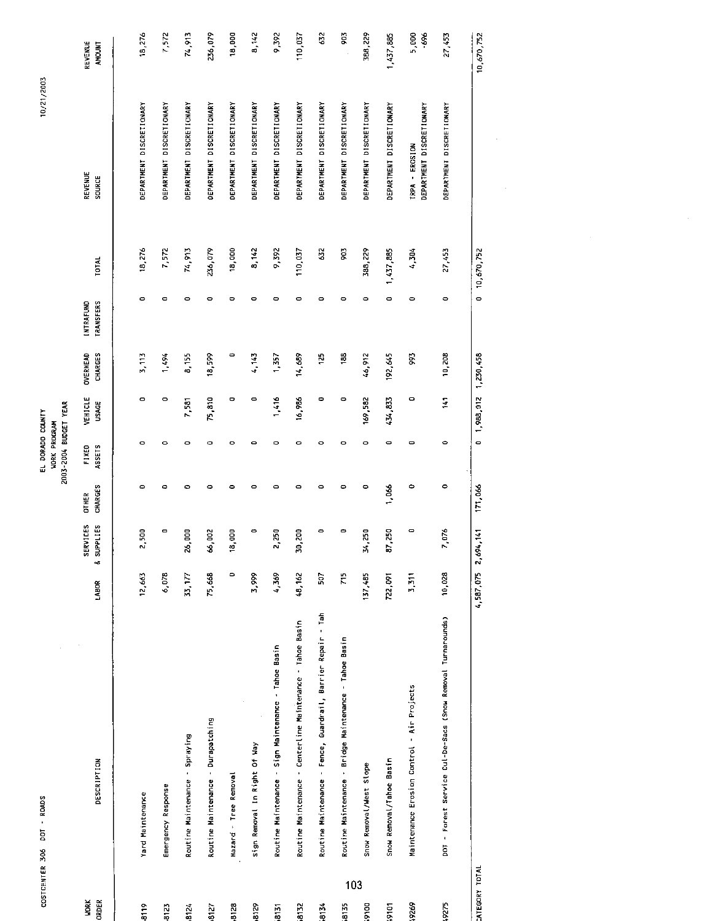| COSTCENTER 306        | savaa<br>Savaa<br>pat                                        |           |                        |                                | 2003-2004 BUDGET YEAR<br>EL DORADO COUNTY<br><b>WORK PROGRAM</b> |                         |                                   |                                      |              | 10/21/2003                                 |                          |
|-----------------------|--------------------------------------------------------------|-----------|------------------------|--------------------------------|------------------------------------------------------------------|-------------------------|-----------------------------------|--------------------------------------|--------------|--------------------------------------------|--------------------------|
| <b>MORK</b><br>ORDER  | DESCRIPTION                                                  | LABOR     | & SUPPLIES<br>SERVICES | <b>CHARGES</b><br><b>CTHER</b> | ASSETS<br>FIXED                                                  | VEHICLE<br><b>USAGE</b> | <b>CHARGES</b><br><b>OVERHEAD</b> | <b>TRANSFERS</b><br><b>INTRAFUND</b> | <b>TOTAL</b> | <b>REVENUE</b><br><b>SOURCE</b>            | REVENUE<br><b>ANCUNT</b> |
|                       |                                                              |           |                        |                                |                                                                  |                         |                                   |                                      |              |                                            |                          |
| 8119                  | Yard Maintenance                                             | 12,663    | 2,500                  | ۰                              | ۰                                                                | $\circ$                 | 3,113                             | $\bullet$                            | 18,276       | DEPARTMENT DISCRETIONARY                   | 18,276                   |
| 8123                  | Emergency Response                                           | 6,078     | $\blacksquare$         | ۰                              | $\circ$                                                          | $\circ$                 | 1,494                             | $\bullet$                            | 7,572        | DEPARTMENT DISCRETIONARY                   | 7,572                    |
| 8124                  | Routine Maintenance - Spraying                               | 33,177    | 26,000                 | ۰                              | $\circ$                                                          | 7,581                   | 8,155                             | $\circ$                              | 74,913       | DEPARTMENT DISCRETIONARY                   | 74,913                   |
| 8127                  | Routine Maintenance - Durapatching                           | 75,668    | 66,002                 | ۰                              | $\circ$                                                          | 75,810                  | 18,599                            | o                                    | 236,079      | <b>DEPARTMENT DISCRETIONARY</b>            | 236,079                  |
| 8128                  | Hazard - Tree Removal                                        | $\circ$   | 18,000                 | $\bullet$                      | $\circ$                                                          | ۰                       | ت                                 | ۰                                    | 18,000       | DEPARTMENT DISCRETIONARY                   | 18,000                   |
| 8129                  | $\cdot$<br>Sign Removal In Right Of Way                      | 3,999     | $\bullet$              | $\circ$                        | 0                                                                | $\mathbf{\bullet}$      | 1,143                             | ۰                                    | 8,142        | DEPARTMENT DISCRETIONARY                   | 8,142                    |
| 8131                  | Routine Maintenance - Sign Maintenance - Tahoe Basin         | 4,369     | 2,250                  | $\circ$                        | $\bullet$                                                        | 1,416                   | 1,357                             | ۰                                    | 9,392        | DEPARTMENT DISCRETIONARY                   | 9,392                    |
| 8132                  | Routine Maintenance - Centerline Maintenance - Tahoe Basin   | 48,162    | 30,200                 | $\circ$                        | $\circ$                                                          | 16,986                  | 14,689                            | ۰                                    | 110,037      | DEPARTMENT DISCRETIONARY                   | 110,037                  |
| -8134                 | Routine Maintenance - Fence, Guardrail, Barrier Repair - Tah | 507       | $\bullet$              | $\bullet$                      | $\bullet$                                                        | 0                       | 125                               | Φ                                    | 62           | DEPARTMENT DISCRETIONARY                   | 632                      |
| 103<br>8135           | Routine Maintenance - Bridge Maintenance - Tahoe Basin       | ξĻ        | 0                      | ۰                              | $\bullet$                                                        | 0                       | 38                                | ۰                                    | 903          | DEPARTMENT DISCRETIONARY                   | 903                      |
| <b>DOLG</b>           | Snow Removal/West Slope                                      | 137,485   | 34,250                 | $\bullet$                      | 0                                                                | 169,582                 | 46,912                            | ۰                                    | 388,229      | DEPARTMENT DISCRETIONARY                   | 388,229                  |
| <b>Paté</b> :         | Snow Removal/Tahoe Basin                                     | 722,091   | 87,250                 | 1,066                          | $\bullet$                                                        | 434,833                 | 192,645                           | 0                                    | 1,437,885    | DEPARTMENT DISCRETIONARY                   | 1 437,885                |
| 19269                 | Maintenance Erosion Control - Air Projects                   | 3,311     | $\circ$                | $\bullet$                      | $\blacksquare$                                                   | $\circ$                 | 83                                | $\circ$                              | 4.304        | DEPARTMENT DISCRETIONARY<br>TRPA - EROSION | 5,000<br>-696            |
| 19775                 | DOT - Forest Service Cul-De-Sacs (Snow Removal Turnarounds)  | 10,028    | 7,076                  | $\circ$                        | $\bullet$                                                        | $\frac{1}{2}$           | 10,208                            | $\circ$                              | 27,453       | DEPARTMENT DISCRETIONARY                   | 27,453                   |
| <b>IATEGORY TOTAL</b> |                                                              | 4,587,075 | 5<br>2,694,            | 171,066                        | $\bullet$                                                        | 1,988,012               | 1,230,458                         | $\circ$                              | 10,670,752   |                                            | 10,670,752               |
|                       |                                                              |           |                        |                                |                                                                  |                         |                                   |                                      |              |                                            |                          |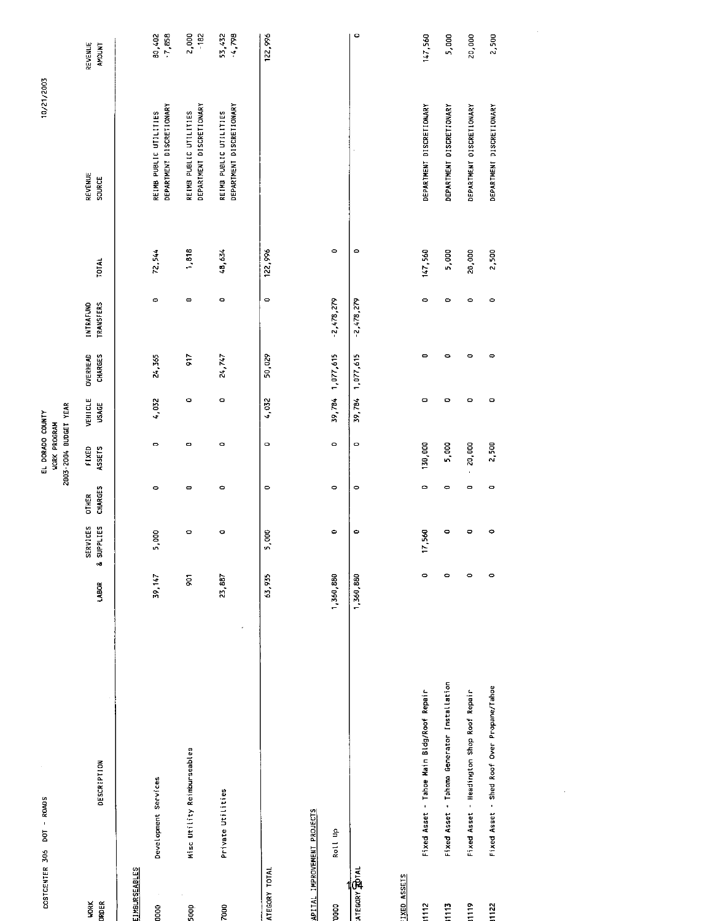| COSTCENTER 306 DOT - ROADS  |                                             |                         |                        |                         | 2003-2004 BUDGET YEAR<br>EL DORADO COUNTY<br><b>WORK PROGRAM</b> |                      |                            |                                                                                                       |         | 10/21/2003                                         |                          |
|-----------------------------|---------------------------------------------|-------------------------|------------------------|-------------------------|------------------------------------------------------------------|----------------------|----------------------------|-------------------------------------------------------------------------------------------------------|---------|----------------------------------------------------|--------------------------|
| <b>HORK</b><br>ORDER        | DESCRIPTION                                 | LABOR                   | SERVICES<br>& SUPPLIES | CHARGES<br><b>DTHER</b> | ASSETS<br>FIXED                                                  | VEHICLE<br>USAGE     | <b>OVERHEAD</b><br>CHARGES | TRANSFERS<br>INTRAFUND                                                                                | TOTAL   | REVENUE<br>SOURCE                                  | REVENUE<br><b>AMOUNT</b> |
| <b>EIMBURSEABLES</b>        |                                             |                         |                        |                         |                                                                  |                      |                            |                                                                                                       |         |                                                    |                          |
| <b>BOOD</b>                 | Development Services                        | 39, 147                 | 5,000                  | $\circ$                 | o                                                                | 4,032                | 24,365                     | $\circ$                                                                                               | 72.544  | DEPARTMENT DISCRETIONARY<br>REIMB PUBLIC UTILITIES | 80,402<br>-7,858         |
| 500                         | Misc Utility Reimburseables                 | $\overline{\mathbf{S}}$ | $\circ$                | $\bullet$               | $\circ$                                                          | $\circ$              | 917                        | $\qquad \qquad \Box$                                                                                  | 1,818   | DEPARTMENT DISCRETIONARY<br>REIMS PUBLIC UTILITIES | 2,000<br>$-182$          |
| $\frac{8}{2}$               | $\epsilon$<br>Private Utilities             | 23,887                  | $\circ$                | $\circ$                 | $\circ$                                                          | $\qquad \qquad \Box$ | 24,747                     | $\circ$                                                                                               | 48,634  | DEPARTMENT DISCRETIONARY<br>REIMB PUBLIC UTILITIES | 4,798<br>53,432          |
| ATEGORY TOTAL               |                                             | 63,935                  | 5,000                  | $\bullet$               | $\circ$                                                          | 4,032                | 50,029                     | $\hskip1.6pt\hskip1.3pt\hskip1.3pt\hskip1.3pt\hskip1.3pt\hskip1.3pt\hskip1.5pt\hskip1.5pt\hskip1.5pt$ | 122,996 |                                                    | 122,996                  |
| APITAL IMPROVEMENT PROJECTS |                                             |                         |                        |                         |                                                                  |                      |                            |                                                                                                       |         |                                                    |                          |
| COOO                        | Roll Up                                     | 1,360,880               | $\bullet$              | $\circ$                 | $\circ$                                                          | 39,784               | 1,077,615                  | $-2,478,279$                                                                                          | $\circ$ |                                                    |                          |
| ATEGORY ROTAL               |                                             | 1,360,880               | $\bullet$              | $\circ$                 | $\circ$                                                          | 39,784 1,077,615     |                            | $-2.478,279$                                                                                          | $\circ$ |                                                    | o                        |
| IXED ASSETS                 |                                             |                         |                        |                         |                                                                  |                      |                            |                                                                                                       |         |                                                    |                          |
| 1112                        | Fixed Asset - Tahoe Main Bldg/Roof Repair   | $\circ$                 | S.<br>17,5             | ۰                       | 130,000                                                          | $\mathbf{\circ}$     | $\mathbf{\bullet}$         | $\circ$                                                                                               | 147,560 | DEPARTMENT DISCRETIONARY                           | 147,560                  |
| 1113                        | Fixed Asset - Tahoma Generator Installation | $\circ$                 | $\circ$                | $\bullet$               | 5,000                                                            | $\mathbf{\Omega}$    | ۰                          | $\circ$                                                                                               | 5,000   | DEPARTMENT DISCRETIONARY                           | 5,000                    |
| $\frac{8}{111}$             | Fixed Asset - Headington Shop Roof Repair   | $\circ$                 | $\circ$                | $\blacksquare$          | 20,000<br>$\hat{\mathbf{r}}$                                     | $\circ$              | $\circ$                    | $\circ$                                                                                               | 20,000  | DEPARTMENT DISCRETIONARY                           | 20,000                   |
| 1122                        | Fixed Asset - Shed Roof Over Propane/Tahoe  | $\circ$                 | $\circ$                | $\hskip 1.6cm \circ$    | 2,500                                                            | $\bullet$            | $\qquad \qquad \circ$      | $\circ$                                                                                               | 2,500   | DEPARTMENT DISCRETIONARY                           | 2,500                    |
|                             |                                             |                         |                        |                         |                                                                  |                      |                            |                                                                                                       |         |                                                    |                          |
|                             |                                             |                         |                        |                         |                                                                  |                      |                            |                                                                                                       |         |                                                    |                          |
|                             |                                             |                         |                        |                         |                                                                  |                      |                            |                                                                                                       |         |                                                    |                          |
|                             |                                             |                         |                        |                         |                                                                  |                      |                            |                                                                                                       |         |                                                    |                          |
|                             |                                             |                         |                        |                         |                                                                  |                      |                            |                                                                                                       |         |                                                    |                          |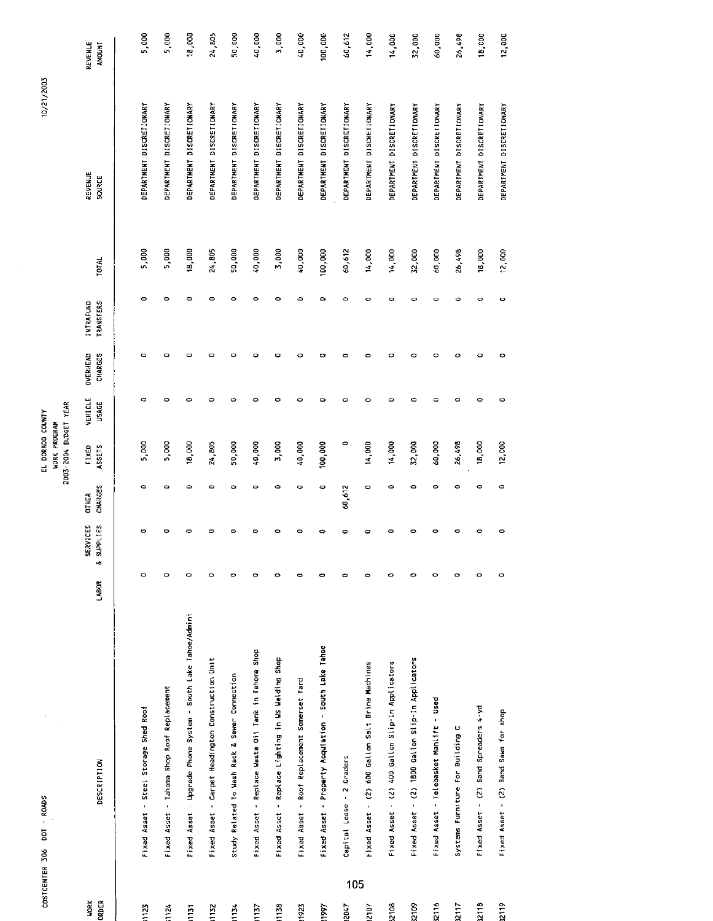|                      | COSTCENTER 306 DOT - ROADS                                   |           |                        |                                | 2003-2004 BUDGET YEAR<br>EL DORADO COUNTY<br><b>WORK PROGRAM</b> |                         |                            |                                      |              | 10/21/2003               |                   |
|----------------------|--------------------------------------------------------------|-----------|------------------------|--------------------------------|------------------------------------------------------------------|-------------------------|----------------------------|--------------------------------------|--------------|--------------------------|-------------------|
| <b>WORK</b><br>ORDER | <b>DESCRIPTION</b>                                           | LABOR     | SERVICES<br>& SUPPLIES | <b>CHARGES</b><br><b>DTHER</b> | ASSETS<br>FIXED                                                  | VEHICLE<br><b>USAGE</b> | CHARGES<br><b>OVERHEAD</b> | <b>TRANSFERS</b><br><b>INTRAFUND</b> | <b>TOTAL</b> | <b>REVENUE</b><br>SOURCE | REVENUE<br>AMOUNT |
| 1123                 | Fixed Asset - Steel Storage Shed Roof                        | $\circ$   | $\bullet$              | ۰                              | 5,000                                                            | $\circ$                 | O                          | O                                    | 5,000        | DEPARTMENT DISCRETIONARY | 5,000             |
| 1124                 | Fixed Asset - Tahoma Shop Roof Replacement                   | $\circ$   | ۰                      | ۰                              | 5,000                                                            | $\circ$                 | ۰                          | $\circ$                              | 5,000        | DEPARTMENT DISCRETIONARY | 5,000             |
| $\overline{151}$     | Fixed Asset - Upgrade Phone System - South Lake Tahoe/Admini | $\circ$   | ۰                      | ۰                              | 18,000                                                           | $\circ$                 | ۰                          | ۰                                    | 18,000       | DEPARTMENT DISCRETIONARY | 18,000            |
| 1132                 | Fixed Asset - Carpet Headington Construction Unit            | $\circ$   | $\bullet$              | ۰                              | 24,805                                                           | $\circ$                 | o                          | 0                                    | 24,805       | DEPARTMENT DISCRETIONARY | 24,805            |
| 1134                 | Study Related To Wash Rack & Sewer Connection                | $\bullet$ | $\bullet$              | $\bullet$                      | 50,000                                                           | $\circ$                 | 0                          | $\circ$                              | 50,000       | DEPARTMENT DISCRETIONARY | 50,000            |
| 1137                 | Fixed Asset - Replace Waste 0il Tank in Tahoma Shop          | $\bullet$ | ۰                      | $\bullet$                      | 40,000                                                           | ۰                       | ۰                          | ۰                                    | 40,000       | DEPARTMENT DISCRETIONARY | 40,000            |
| 1158                 | Fixed Asset - Replace Lighting in WS Welding Shop            | ۰         | ۰                      | ٥                              | 3,000                                                            | ۰                       | ۰                          | ۰                                    | 3,000        | DEPARTMENT DISCRETIONARY | 3,000             |
| 1923                 | Fixed Asset - Roof Replacement Somerset Yard                 | $\bullet$ | $\bullet$              | 0                              | 40,000                                                           | $\bullet$               | 0                          | ٥                                    | 40,000       | DEPARTMENT DISCRETIONARY | 40,000            |
| 1997                 | Fixed Asset - Property Acquistion - South Lake Tahoe         | $\bullet$ | ۰                      | ۰                              | 100,000                                                          | $\blacksquare$          | ۰                          | ٥                                    | 100,000      | DEPARTMENT DISCRETIONARY | 100,000           |
| 105<br>2047          | Capital Lease - 2 Graders                                    | $\circ$   | $\bullet$              | 60,612                         | ۰                                                                | ۰                       | o                          | $\circ$                              | 60,612       | DEPARTMENT DISCRETIONARY | 60,612            |
| 2107                 | Fixed Asset - (2) 600 Gallon Salt Brine Machines             | $\circ$   | o                      | ۰                              | 14,000                                                           | $\bullet$               | $\circ$                    | $\circ$                              | 14,000       | DEPARTMENT DISCRETIONARY | 14,000            |
| 32108                | Fixed Asset - (2) 400 Gallon Slip-In Applicators             | $\circ$   | $\circ$                | O                              | 14,000                                                           | $\bullet$               | ۰                          | $\bullet$                            | 14,000       | DEPARTMENT DISCRETIONARY | 14,000            |
| <b>80128</b>         | Fixed Asset - (2) 1800 Gallon Slip-In Applicators            | 0         | ۰                      | ۰                              | 32,000                                                           | ٠                       | ۰                          | $\circ$                              | 32,000       | DEPARTMENT DISCRETIONARY | 32,000            |
| 32116                | Fixed Asset - Telebasket Manlift - Used                      | $\circ$   | o                      | ۰                              | 60,000                                                           | O                       | ۰                          | O                                    | 60,000       | DEPARTMENT DISCRETIONARY | 60,000            |
| 2117                 | U<br>Systems Furniture For Building                          | $\bullet$ | o                      | $\bullet$                      | 26,498                                                           | $\bullet$               | ۰                          | 0                                    | 26,498       | DEPARTMENT DISCRETIONARY | 26,498            |
| 32118                | Fixed Asset - (2) Sand Spreaders 4-yd                        | $\circ$   | ۰                      | $\bullet$                      | 18,000                                                           | $\circ$                 | ۰                          | O                                    | 18,000       | DEPARTMENT DISCRETIONARY | 18,000            |
| 2119                 | Fixed Asset - (2) Band Saws for shop                         | ۰         | ۰                      | $\bullet$                      | 12,000                                                           | Ó                       | ۰                          | ۰                                    | 12,000       | DEPARTMENT DISCRETIONARY | 12,000            |
|                      |                                                              |           |                        |                                |                                                                  |                         |                            |                                      |              |                          |                   |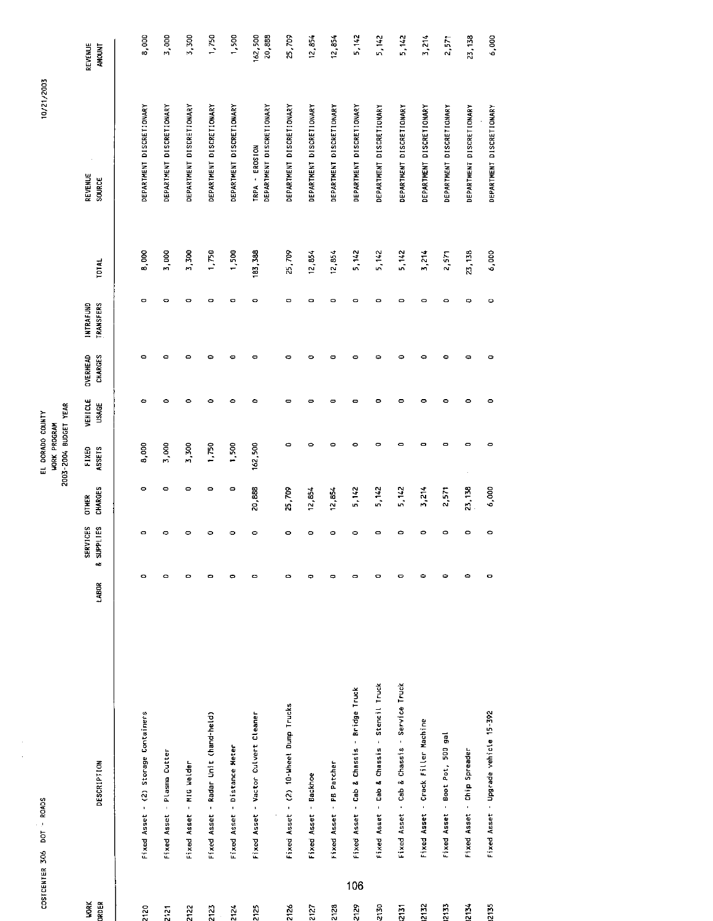|                      | COSTCENTER 306 DOT - ROADS |                                             |                      |                                   |                         | 2003-2004 BUDGET YEAR<br>EL DORADO COUNTY<br>WORK PROGRAM |                         |                     |                                      |         | 10/21/2003                                 |                          |
|----------------------|----------------------------|---------------------------------------------|----------------------|-----------------------------------|-------------------------|-----------------------------------------------------------|-------------------------|---------------------|--------------------------------------|---------|--------------------------------------------|--------------------------|
| <b>WORK</b><br>ORDER |                            | <b>DESCRIPTION</b>                          | LABOR                | SERVICES<br><b>&amp; SUPPLIES</b> | CHARGES<br><b>OTHER</b> | FIXED<br>ASSETS                                           | VEHICLE<br><b>USAGE</b> | OVERHEAD<br>CHARGES | <b>INTRAFUND</b><br><b>TRANSFERS</b> | TOTAL   | REVENUE<br>SOURCE                          | REVENUE<br><b>AMOUNT</b> |
| 2120                 |                            | Fixed Asset - (2) Storage Containers        | $\circ$              | $\mathbf{C}$                      | $\circ$                 | 8,000                                                     | $\circ$                 | ٥                   | $\mathbf{\Omega}$                    | 8,000   | DEPARTMENT DISCRETIONARY                   | 8,000                    |
| 2121                 |                            | Fixed Asset - Plasma Cutter                 | $\circ$              | ۰                                 | 0                       | 3,000                                                     | $\circ$                 | ٥                   | $\circ$                              | 3,000   | DEPARTMENT DISCRETIONARY                   | 3,000                    |
| 2122                 |                            | Fixed Asset - MIG Welder                    | $\circ$              | c                                 | ۰                       | 3,300                                                     | $\circ$                 | ٥                   | $\circ$                              | 3 300   | DEPARTMENT DISCRETIONARY                   | 3,300                    |
| 2123                 |                            | Fixed Asset - Radar Unit (hand-held)        | $\bullet$            | $\mathbf{C}$                      | ۰                       | 1,750                                                     | $\circ$                 | ۰                   | Ō                                    | 1,750   | DEPARTMENT DISCRETIONARY                   | 1,750                    |
| 2124                 | Fixed Asset                | - Distance Meter                            | $\bullet$            | ۰                                 | $\circ$                 | 1,500                                                     | $\bullet$               | c                   | $\circ$                              | 1,500   | DEPARTMENT DISCRETIONARY                   | 1,500                    |
| 2125                 |                            | Fixed Asset - Vactor Culvert Cleaner        | $\bullet$            | 0                                 | 20,888                  | 162,500                                                   | ۰                       | Φ                   | $\circ$                              | 183,388 | DEPARTMENT DISCRETIONARY<br>TRPA - EROSION | 162,500<br>20,888        |
| 2126                 |                            | Fixed Asset - (2) 10-Wheel Dump Trucks      | $\circ$              | o                                 | 25,709                  | $\circ$                                                   | $\bullet$               | 0                   | $\circ$                              | 25,709  | DEPARTMENT DISCRETIONARY                   | 25,709                   |
| 2127                 | Fixed Asset                | - Backhoe                                   | $\Rightarrow$        | $\bullet$                         | 12,854                  | $\bullet$                                                 | $\bullet$               | ۰                   | $\bullet$                            | 12,854  | DEPARTMENT DISCRETIONARY                   | 12,854                   |
| 2128                 |                            | Fixed Asset - PB Patcher                    | $\Rightarrow$        | $\bullet$                         | 12,854                  | $\bullet$                                                 | $\bullet$               | c                   | $\circ$                              | 12,854  | DEPARTMENT DISCRETIONARY                   | 12,854                   |
| 106<br>2129          |                            | Fixed Asset - Cab & Chassis - Bridge Truck  | $\mathbf{\Omega}$    | $\circ$                           | 5, 142                  | $\bullet$                                                 | $\bullet$               | o                   | $\circ$                              | 5.142   | DEPARTMENT DISCRETIONARY                   | 5,142                    |
| 2130                 |                            | Fixed Asset - Cab & Chassis - Stencil Truck | $\circ$              | 0                                 | 5,142                   | $\circ$                                                   | $\circ$                 | ۰                   | $\circ$                              | 5,142   | DEPARTMENT DISCRETIONARY                   | 5,142                    |
| 2131                 | Fixed Asset                | - Cab & Chassis - Service Truck             | $\bullet$            | 0                                 | 5,142                   | $\bullet$                                                 | $\bullet$               | ۰                   | $\circ$                              | 5.142   | DEPARTMENT DISCRETIONARY                   | 5,142                    |
| 2132                 |                            | Fixed Asset - Crack Filler Machine          | $\bullet$            | c                                 | 3,214                   | $\bullet$                                                 | $\bullet$               | ۰                   | $\circ$                              | 3,214   | DEPARTMENT DISCRETIONARY                   | 3,214                    |
| 213                  |                            | Fixed Asset - Boot Pot, 500 gal             | ۰                    | ۰                                 | 2,571                   | $\blacksquare$                                            | $\bullet$               | ۰                   | ۰                                    | 2,571   | DEPARTMENT DISCRETIONARY                   | 2,571                    |
| 2134                 |                            | Fixed Asset - Chip Spreader                 | $\ddot{\phantom{0}}$ | ۰                                 | 23,138                  | $\bullet$                                                 | $\circ$                 | $\bullet$           | $\Rightarrow$                        | 23,138  | DEPARTMENT DISCRETIONARY                   | 23,138                   |
| 2135                 |                            | Fixed Asset - Upgrade vehicle 15-392        | ۰                    | ۰                                 | 6,000                   | $\bullet$                                                 | $\circ$                 | o                   | ۰                                    | 6,000   | DEPARTMENT DISCRETIONARY                   | 6,000                    |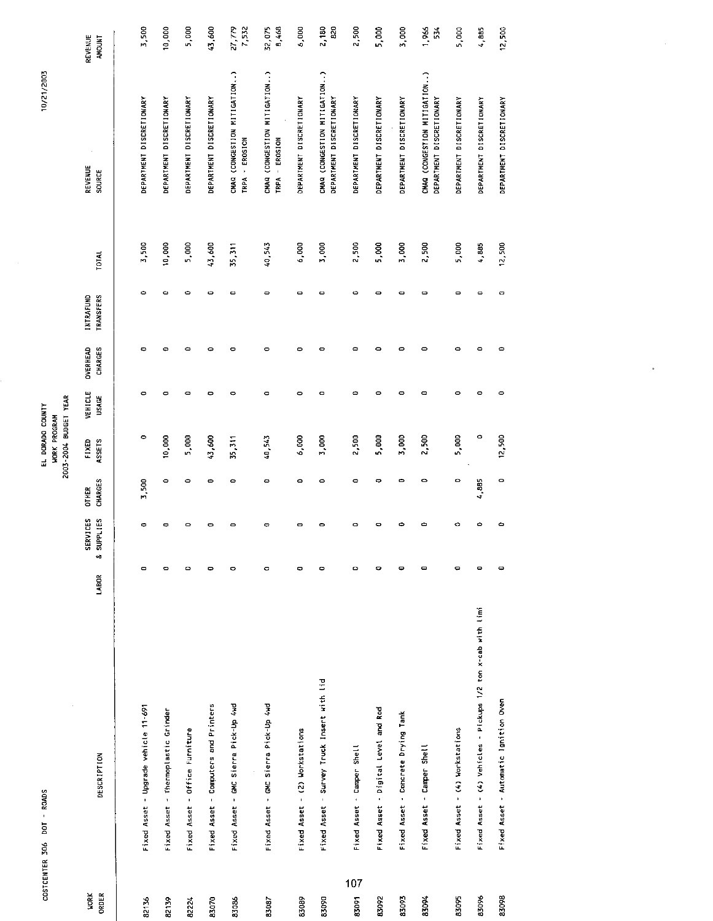| COSTCENTER 306 | <b>ROADS</b><br>boT |                                                              |                              |               |                | 2003-2004 BUDGET YEAR<br>EL DORADO COUNTY<br><b>WORK PROGRAM</b> |         |                 |                  |        | 10/21/2003                                               |                      |
|----------------|---------------------|--------------------------------------------------------------|------------------------------|---------------|----------------|------------------------------------------------------------------|---------|-----------------|------------------|--------|----------------------------------------------------------|----------------------|
| <b>MORK</b>    |                     |                                                              |                              | SERVICES      | <b>OT HER</b>  | FIXED                                                            | VEHICLE | <b>OVERHEAD</b> | INTRAFUND        |        | <b>REVENUE</b>                                           | REVENUE              |
| ORDER          |                     | DESCRIPTION                                                  | LABOR                        | & SUPPLIES    | <b>CHARGES</b> | ASSETS                                                           | USAGE   | <b>CHARGES</b>  | <b>TRANSFERS</b> | TOTAL  | SOURCE                                                   | <b>AHOUNT</b>        |
|                |                     |                                                              |                              |               |                |                                                                  |         |                 |                  |        |                                                          |                      |
| 82136          |                     | Fixed Asset - Upgrade vehicle 11-691                         | $\qquad \qquad \blacksquare$ | ۰             | 3,500          | ۰                                                                | ۰       | ۰               | ۰                | 3,500  | DEPARTMENT DISCRETIONARY                                 | 3,500                |
| 82139          |                     | Fixed Asset - Thermoplastic Grinder                          | $\circ$                      | $\Rightarrow$ | $\circ$        | 10,000                                                           | $\circ$ | $\circ$         | ۰                | 10,000 | DEPARTMENT DISCRETIONARY                                 | 10,000               |
| 8224           |                     | Fixed Asset - Office Furniture                               | $\circ$                      | ۰             | $\circ$        | 5,000                                                            | ۰       | Ó               | ۰                | 5,000  | DEPARTMENT DISCRETIONARY                                 | 5,000                |
| 83070          | Fixed Asset         | - Computers and Printers                                     | $\bullet$                    | ۰             | $\bullet$      | 43,600                                                           | ۰       | Ó               | ۰                | 43,600 | DEPARTMENT DISCRETIONARY                                 | 43,600               |
| 83086          | Fixed Asset         | - GMC Sierra Pick-Up 4wd                                     | 0                            | 0             | ¢              | 35,311                                                           | ۰       | $\bullet$       | o                | 35,311 | CHAQ (CONGESTION MITIGATION)<br>- EROSION<br>TRPA        | 27,779               |
| 85087          |                     | Fixed Asset - GMC Sierra Pick-Up 4Md                         | 0                            | O             | Ò              | 40,543                                                           | $\circ$ | $\bullet$       | $\circ$          | 40,543 | CHAG (CONGESTION MITIGATION)<br><b>EROSION</b><br>TRPA   | $\frac{32}{8}$ , 075 |
| 83089          |                     | Fixed Asset - (2) Workstations                               | $\bullet$                    | $\mathbf{D}$  | $\bullet$      | 6,000                                                            | ۰       | $\bullet$       | ۰                | 6,000  | <b>DEPARTMENT DISCRETIONARY</b>                          | 6,000                |
| 83090          |                     | Fixed Asset - Survey Truck Insert with lid                   | $\bullet$                    | 0             | $\circ$        | 3,000                                                            | ۰       | $\circ$         | $\circ$          | 5,000  | CMAG (CONGESTION MITIGATION)<br>DEPARTMENT DISCRETIONARY | 2,180<br>820         |
| 107<br>83091   |                     | Fixed Asset - Camper Shell                                   | $\circ$                      | $\circ$       | $\circ$        | 2,500                                                            | ۰       | $\circ$         | ٥                | 2,500  | DEPARTMENT DISCRETIONARY                                 | 2,500                |
| 83092          |                     | Fixed Asset - Digital Level and Rod                          | $\bullet$                    | 0             | 0              | 5,000                                                            | ۰       | $\bullet$       | 0                | 5,000  | DEPARTMENT DISCRETIONARY                                 | 5,000                |
| 83003          |                     | Fixed Asset - Concrete Drying Tank                           | $\bullet$                    | ۰             | $\bullet$      | 3,000                                                            | ۰       | $\circ$         | $\circ$          | 3,000  | DEPARTMENT DISCRETIONARY                                 | 3,000                |
| 83094          | Fixed Asset         | - Camper Shell                                               | $\blacksquare$               | c             | $\bullet$      | 2,500                                                            | ۰       | $\circ$         | $\circ$          | 2,500  | CHAQ (CONGESTION MITIGATION)<br>DEPARTMENT DISCRETIONARY | 1,966<br>54          |
| 83095          |                     | Fixed Asset - (4) Workstations                               | $\bullet$                    | O             | ۰              | 5,000                                                            | ۰       | $\bullet$       | 0                | 5,000  | DEPARTMENT DISCRETIONARY                                 | 5,000                |
| 83096          |                     | Fixed Asset - (4) Vehicles - Pickups 1/2 ton x-cab with limi | $\qquad \qquad \blacksquare$ | $\bullet$     | 4,885          | $\circ$                                                          | $\circ$ | $\circ$         | $\circ$          | 4,885  | DEPARTMENT DISCRETIONARY                                 | 4,885                |
| 83098          |                     | Fixed Asset - Automatic Ignition Oven                        | ۰                            | ۰             | $\circ$        | 12,500                                                           | $\circ$ | $\bullet$       | 0                | 12,500 | DEPARTMENT DISCRETIONARY                                 | 12,500               |

k,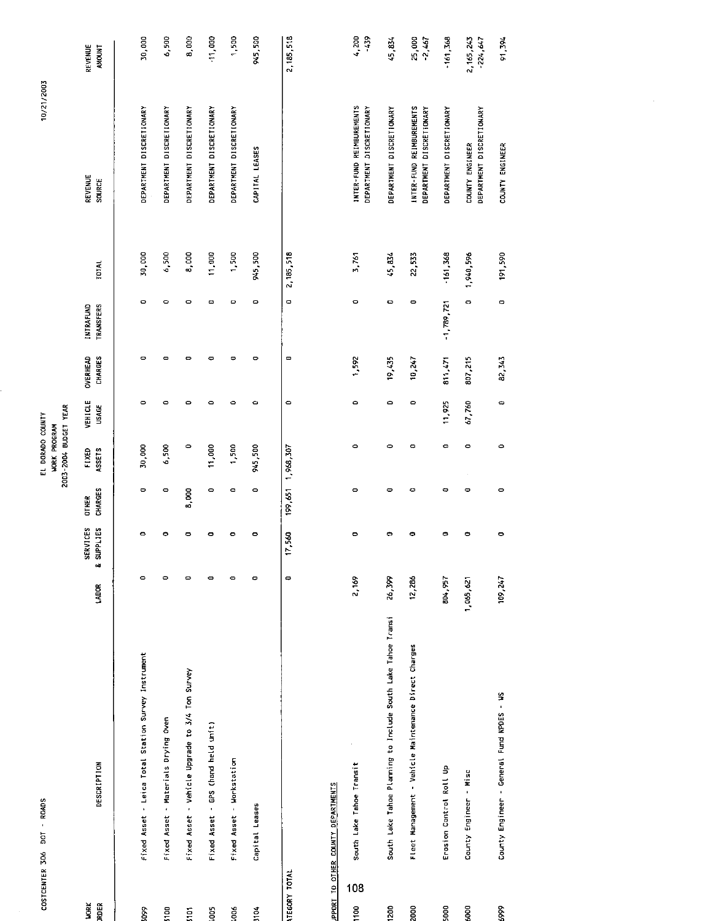|                             | COSTCENTER 3D6 DOT - ROADS                          |             |                               |                                | 2003-2004 BUDGET YEAR<br>EL DORADO COUNTY<br><b>WORK PROGRAM</b> |                         |                            |                                      |               | 10/21/2003               |
|-----------------------------|-----------------------------------------------------|-------------|-------------------------------|--------------------------------|------------------------------------------------------------------|-------------------------|----------------------------|--------------------------------------|---------------|--------------------------|
| <b>JRDER</b><br><b>VORK</b> | DESCRIPTION                                         | <b>ABOR</b> | <b>SERVICES</b><br>& SUPPLIES | <b>CHARGES</b><br><b>OTHER</b> | FIXED<br><b>ASSETS</b>                                           | VEHICLE<br><b>USAGE</b> | OVERHEAD<br><b>CHARGES</b> | <b>INTRAFUND</b><br><b>TRANSFERS</b> | <b>I DTAL</b> | REVENUE<br><b>SOURCE</b> |
| Š.                          | Fixed Asset - Leica Total Station Survey Instrument |             |                               | $\circ$                        | 30,000                                                           | $\circ$                 | 0                          |                                      | 30,000        | DEPARTMENT DISCRETIONARY |
| 5100                        | Fixed Asset - Materials Drying Oven                 |             | o                             | 0                              | 6,500                                                            | ٥                       | Ξ                          |                                      | 6,500         | DEPARTMENT DISCRETIONARY |
| ត្ត                         | Fixed Asset - Vehicle Upgrade to 3/4 Ton Survey     |             | 0                             | 8,000                          |                                                                  | ۰                       | 0                          |                                      | 8,000         | DEPARTMENT DISCRETIONARY |
| Soot                        | Fixed Asset - GPS (hand held unit)                  |             | o                             | ۰                              | 11,000                                                           | ٥                       |                            |                                      | 11,000        | DEPARTMENT DISCRETIONARY |
| koos                        | Fixed Asset - Workstation                           | 0           | o                             | 0                              | 1,500                                                            | ٥                       | 0                          |                                      | 1,500         | DEPARTMENT DISCRETIONARY |
| <b>B104</b>                 | Capital Leases                                      | 0           | 0                             | 0                              | 945,500                                                          | ۰                       | 0                          | 0                                    | 945,300       | CAPITAL LEASES           |

30,000 6,500 8,000 11,000

**REVENUE**<br>AMOUNT

945,500 1,500

2, 185, 518

 $0 - 2,185,518$ 

 $\overline{\phantom{0}}$ 

 $\ddot{\phantom{a}}$ 

 $\frac{17}{17,560}$  199,651 1,968,307

# IPPORT TO OTHER COUNTY DEPARTMENTS

ATEGORY TOTAL

| 91.594                    | COUNTY ENGINEER                                      | 191,590    |              | 82, 343 | ¢      |   |   | 109.247   | County Engineer - General Fund NPDES - WS                    |      | 889  |
|---------------------------|------------------------------------------------------|------------|--------------|---------|--------|---|---|-----------|--------------------------------------------------------------|------|------|
| 2, 165, 243<br>$-224,647$ | DEPARTMENT DISCRETIONARY<br>COUNTY ENGINEER          | 1,940,596  | o            | 807,215 | 67,760 |   |   | 1,065,621 | County Engineer - Misc                                       |      | 6000 |
| $-161,368$                | DEPARTMENT DISCRETIONARY                             | $-161,368$ | $-1,789,721$ | 811,471 | 11,925 | ¢ |   | 504,957   | Erosion Control Roll Up                                      |      | 5000 |
| 25,000<br>-2,467          | INTER-FUND REIMBUREMENTS<br>DEPARTMENT DISCRÉTIONARY | 22,533     |              | 10,247  |        |   |   | 12,286    | Fleet Management - Vehicle Maintenance Direct Charges        |      | 2000 |
| 45.874                    | DEPARTMENT DISCRETIONARY                             | 45,834     |              | 19 435  | ٥      |   |   | 26,399    | South Lake Tahoe Planning to Include South Lake Tahoe Transi | 1200 |      |
| 4,200<br>439              | INTER-FUND REIMBUREMENTS<br>DEPARTMENT DISCRETIONARY | 3,761      | 0            | 1,592   | ō      | ۰ | o | 2,169     | South Lake Tahoe Transit                                     | 108  | 1100 |
|                           |                                                      |            |              |         |        |   |   |           | UPPUR THER CUUNTI PEP ANTHERITS                              |      |      |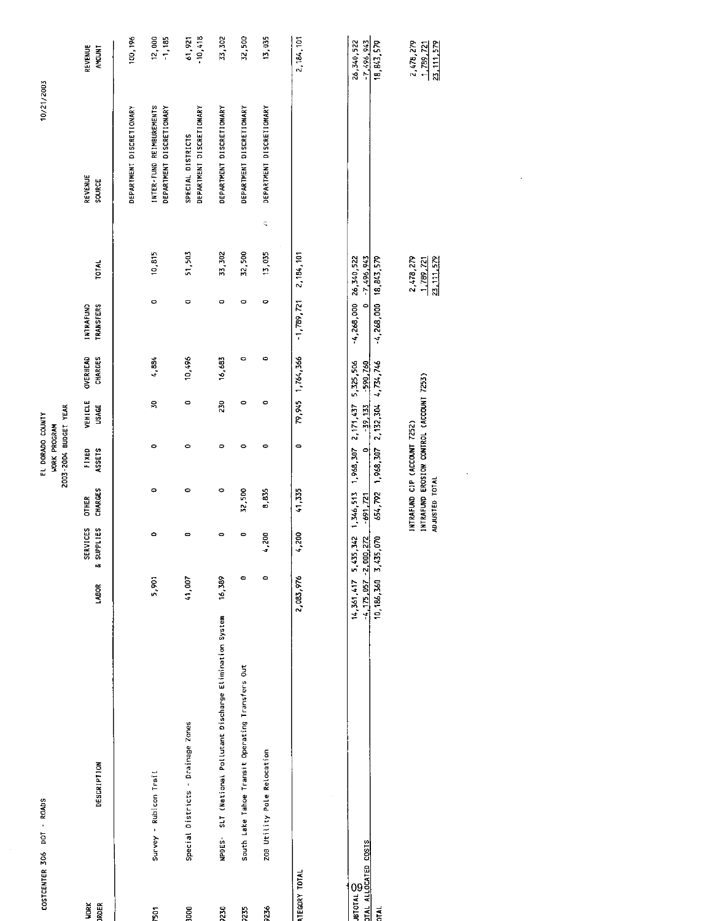|                                            | COSTCENTER 306 DOT - ROADS                                            |                                    |                                |                                                                                            | 2003-2004 BUDGET YEAR<br>EL DORADO COUNTY<br><b>HORK PROGRAM</b> |                          |                         |                                      |                                        | 10/21/2003                                           |                                               |
|--------------------------------------------|-----------------------------------------------------------------------|------------------------------------|--------------------------------|--------------------------------------------------------------------------------------------|------------------------------------------------------------------|--------------------------|-------------------------|--------------------------------------|----------------------------------------|------------------------------------------------------|-----------------------------------------------|
| <b>RDER</b><br><b>VORK</b>                 | DESCRIPTION                                                           | LABOR                              | SERVICES<br>& SUPPLIES         | CHARGES<br><b>OTHER</b>                                                                    | FIXED<br>ASSETS                                                  | VEHICLE<br><b>USAGE</b>  | OVERHEAD<br>CHARGES     | <b>TRANSFERS</b><br><b>INTRAFUND</b> | TOTAL                                  | REVENUE<br>SOURCE                                    | <b>REVENUE</b><br><b>ANOUNT</b>               |
|                                            |                                                                       |                                    |                                |                                                                                            |                                                                  |                          |                         |                                      |                                        | DEPARTMENT DISCRETIONARY                             | 100,196                                       |
| 501                                        | Survey - Rubicon Trail                                                | 5,901                              | $\circ$                        | ۰                                                                                          | ۰                                                                | $\mathbf{S}$             | 4.884                   | $\circ$                              | 10,815                                 | INTER-FUND REIMBUREMENTS<br>DEPARTMENT DISCRETIONARY | 12,000<br>$-1,185$                            |
| $\overline{0}$                             | Special Districts - Drainage Zones                                    | 41,007                             | $\mathbf{\bullet}$             | ۰                                                                                          | $\circ$                                                          | $\circ$                  | 10,496                  | $\circ$                              | 51,503                                 | DEPARTMENT DISCRETIONARY<br>SPECIAL DISTRICTS        | $-10,418$<br>61.921                           |
| 230                                        | SLT (National Pollutant Discharge Elimination System<br><b>NPDES-</b> | 16,389                             | 0                              | $\circ$                                                                                    | $\circ$                                                          | 230                      | 16,683                  | ¢                                    | 33,302                                 | DEPARTMENT DISCRETIONARY                             | 3302                                          |
| 235                                        | South Lake Tahoe Transit Operating Transfers Out                      | $\bullet$                          | $\qquad \qquad \blacksquare$   | 32,500                                                                                     | $\circ$                                                          | $\circ$                  | $\bullet$               | $\circ$                              | 32,500                                 | DEPARTMENT DISCRETIONARY                             | 32,500                                        |
| 236                                        | ZOB Utility Pole Relocation                                           | $\circ$                            | 4,200                          | 8,835                                                                                      | $\bullet$                                                        | $\circ$                  | $\Rightarrow$           | $\circ$                              | $\mathbb Q$<br>13,035                  | DEPARTMENT DISCRETIONARY                             | 13,035                                        |
| TEGORY TOTAL                               |                                                                       | 2,083,976                          | 4,200                          | 41,335                                                                                     | $\bullet$                                                        | 79,945                   | 1,764,366               | 1,789,721                            | 2,184,101                              |                                                      | 2, 184, 101                                   |
| <b>BTOTAL &amp;</b><br>TAL ALLOCATED COSTS |                                                                       | $-4.175.057 - 2.000$<br>14,361,417 | 342<br>$\frac{2}{3}$<br>5,435, | 1,346,513<br>$-691, 721$                                                                   | 1,968,307<br>$\circ$                                             | 2, 171, 437<br>$-39,133$ | 5,325,506<br>$-590.760$ | $-4,268,000$ 26,340,522<br>$\circ$   | $-7,496,943$                           |                                                      | 26,340,522<br>$-7,496,943$                    |
| <b>EAL</b>                                 |                                                                       | 10, 186, 360 3, 435                | $\tilde{\mathcal{E}}$          | 654,792 1,968,307                                                                          |                                                                  | 2, 132, 304 4, 734, 746  |                         | $-4,268,000$ 18.843,579              |                                        |                                                      | 18,843,579                                    |
|                                            |                                                                       |                                    |                                | INTRAFUND EROSION CONTROL (ACCOUNT 7253)<br>INTRAFUND CIP (ACCOUNT 7252)<br>ADJUSTED TOTAL |                                                                  |                          |                         |                                      | 2.478,279<br>23, 111, 579<br>1,789,721 |                                                      | 2,478,279<br>1,789,721<br><u>23, 111, 579</u> |
|                                            |                                                                       |                                    |                                |                                                                                            |                                                                  |                          |                         |                                      |                                        |                                                      |                                               |
|                                            |                                                                       |                                    |                                |                                                                                            |                                                                  |                          |                         |                                      |                                        |                                                      |                                               |
|                                            |                                                                       |                                    |                                |                                                                                            |                                                                  |                          |                         |                                      |                                        |                                                      |                                               |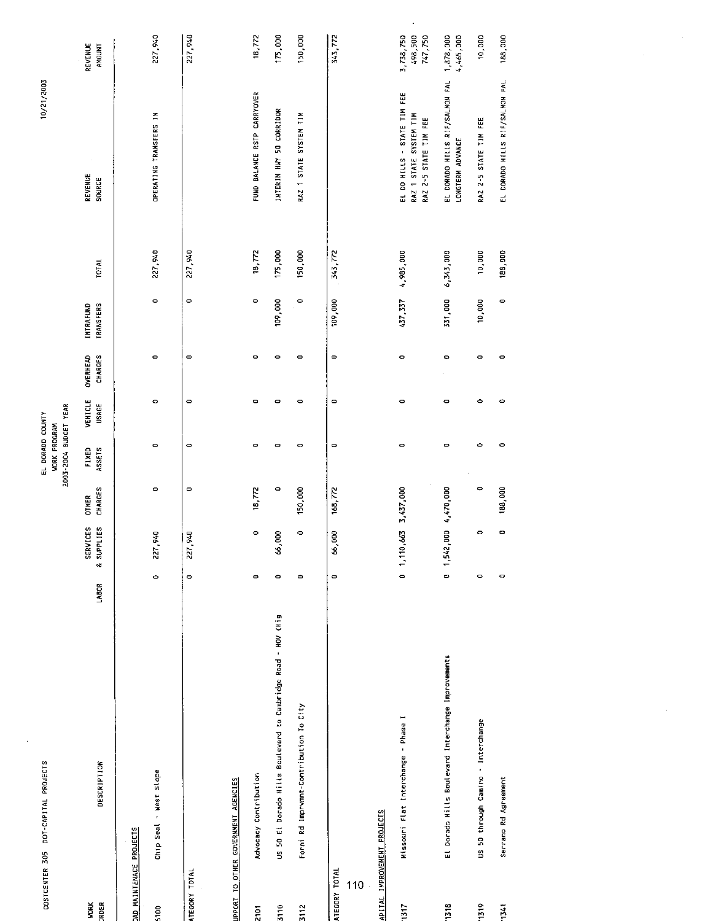|                     | COSTCENTER 305 DOT-CAPITAL PROJECTS                             |              |                               |                         | 2003-2004 BUDGET YEAR<br>EL DORADO COUNTY<br><b>WORK PROGRAM</b> |                         |                            |                               |              | 10/21/2003                                                                     |                                 |
|---------------------|-----------------------------------------------------------------|--------------|-------------------------------|-------------------------|------------------------------------------------------------------|-------------------------|----------------------------|-------------------------------|--------------|--------------------------------------------------------------------------------|---------------------------------|
| RDER<br><b>NORK</b> | <b>DESCRIPTION</b>                                              | LABOR        | <b>SERVICES</b><br>& SUPPLIES | CHARGES<br><b>OTHER</b> | FIXED<br>ASSE <sub>15</sub>                                      | VEHICLE<br><b>USAGE</b> | CHARGES<br><b>OVERHEAD</b> | <b>TRANSFERS</b><br>INTRAFUND | <b>TOTAL</b> | REVENUE<br>SOURCE                                                              | REVENUE<br><b>AMOUNT</b>        |
|                     | AD MAINTENACE PROJECTS                                          |              |                               |                         |                                                                  |                         |                            |                               |              |                                                                                |                                 |
| 100                 | Chip Seal - West Slope                                          | $\circ$      | 227,940                       | $\circ$                 | $\circ$                                                          | $\circ$                 | $\circ$                    | $\circ$                       | 227.940      | OPERATING TRANSFERS IN                                                         | 227,940                         |
| TEGORY TOTAL        |                                                                 | $\circ$      | 227,940                       | $\circ$                 | $\circ$                                                          | $\circ$                 | $\circ$                    | $\circ$                       | 227,940      |                                                                                | 227,940                         |
|                     | PPORT TO OTHER GOVERNMENT AGENCIES                              |              |                               |                         |                                                                  |                         |                            |                               |              |                                                                                |                                 |
| $\overline{p}$      | Advocacy Contribution                                           | $\bullet$    | $\circ$                       | 18,772                  | ۰                                                                | $\bullet$               | $\circ$                    | $\circ$                       | 18,772       | FUND BALANCE RSTP CARRYOVER                                                    | 18,772                          |
| 110                 | El Dorado Nills Boulevard to Cambridge Road - HOV (Hig<br>US 50 | $\circ$      | 66,000                        | $\circ$                 | $\blacksquare$                                                   | $\bullet$               | $\circ$                    | 109,000                       | 175,000      | INTERIM HWY 50 CORRIDOR                                                        | 175,000                         |
| $\frac{2}{1}$       | Forni Rd Imprvmnt-Contribution To City                          | $\bullet$    | $\circ$                       | 150,000                 | $\bullet$                                                        | $\bullet$               | $\overline{\phantom{0}}$   | $\circ$                       | 150,000      | RAZ 1 STATE SYSTEM TIM                                                         | 150,000                         |
| TEGORY TOTAL<br>110 |                                                                 | $\circ$      | 66,000                        | 168,772                 | $\circ$                                                          | $\bullet$               | $\overline{\phantom{0}}$   | 109,000                       | 343,772      |                                                                                | 343,772                         |
|                     | PITAL IMPROVEMENT PROJECTS                                      |              |                               |                         |                                                                  |                         |                            |                               |              |                                                                                |                                 |
| 317                 | Missouri flat Interchange - Phase I                             | 0            | 1, 110, 663 3, 437, 000       |                         | $\circ$                                                          | $\bullet$               | $\circ$                    | 437,337                       | 4,985,000    | EL DO HILLS - STATE TIM FEE<br>RAZ 1 STATE SYSTEM TIM<br>RAZ 2-5 STATE TIM FEE | 3,738,750<br>498,500<br>747,750 |
| $\frac{18}{2}$      | El Dorado Hills Boulevard Interchange Improvements              | $\mathbf{C}$ | 1,542,000 4,470,000           |                         | $\mathbf{\Xi}$                                                   | ¢                       | $\circ$                    | 331,000                       | 6,343,000    | EL DORADO HILLS RIF/SALMON FAL<br>LONGTERM ADVANCE                             | 1,878,000<br>4,465,000          |
| 519                 | US 50 through Camino - Interchange                              | $\circ$      | 0                             | $\Rightarrow$           | $\circ$                                                          | $\bullet$               | $\circ$                    | 10,000                        | 10,000       | RAZ 2-5 STATE TIM FEE                                                          | 10,000                          |
| $\frac{1}{2}$       | Serrano Rd Agreement                                            | ۰            | $\mathbf{\circ}$              | 188,000                 | $\circ$                                                          | $\circ$                 | o                          | $\circ$                       | 188,000      | EL DORADO HILLS RIF/SALMON FAL                                                 | 188,000                         |
|                     |                                                                 |              |                               |                         |                                                                  |                         |                            |                               |              |                                                                                |                                 |

 $\langle\sigma\rangle$ 

 $\Delta \sim 1$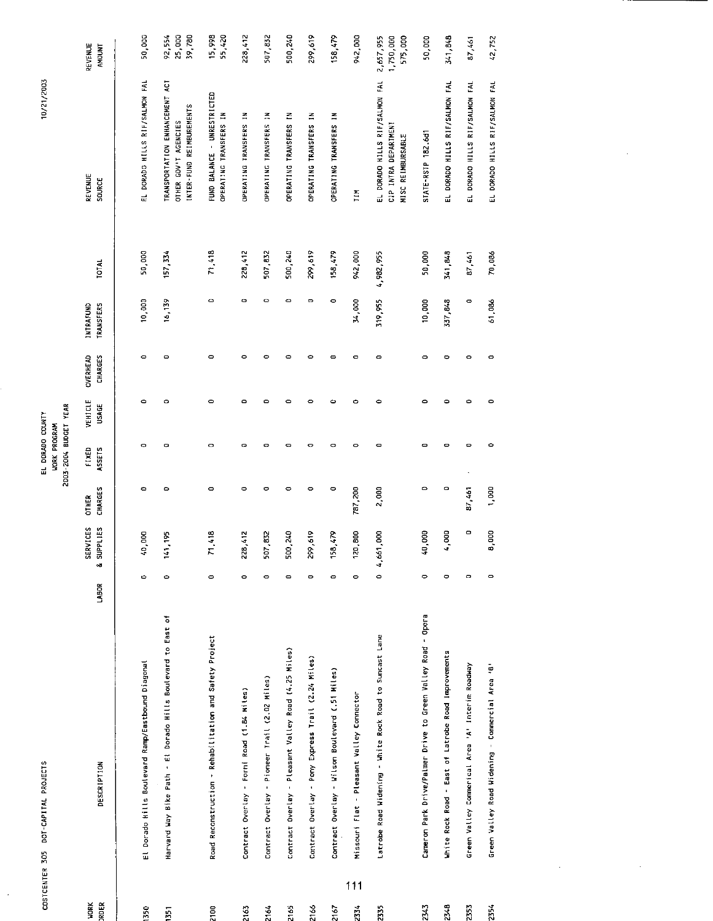| COSTCENTER 305       | DOT-CAPITAL PROJECTS                                         |              |                        |                          | 2003-2004 BUDGET YEAR<br>EL DORADO COUNTY<br><b>WORK PROGRAM</b> |                         |                     |                                      |              | 10/21/2003                                                                         |                                   |
|----------------------|--------------------------------------------------------------|--------------|------------------------|--------------------------|------------------------------------------------------------------|-------------------------|---------------------|--------------------------------------|--------------|------------------------------------------------------------------------------------|-----------------------------------|
| JRDER<br><b>HORK</b> | DESCRIPTION                                                  | <b>LABOR</b> | SERVICES<br>& SUPPLIES | CHARGES<br><b>OT HER</b> | FIXED<br>ASSETS                                                  | VEHICLE<br><b>USAGE</b> | OVERHEAD<br>CHARGES | <b>INTRAFUND</b><br><b>TRANSFERS</b> | <b>TOTAL</b> | REVENUE<br>source                                                                  | REVENUE<br><b>AMOUNT</b>          |
| 1350                 | El Dorado Hills Boulevard Ramp/Eastbound Diagonal            | O            | 000'<br>Ş              | Ò                        | $\circ$                                                          | ۰                       | $\circ$             | 10,000                               | 50,000       | EL DORADO HILLS RIF/SALMON FAL                                                     | 50,000                            |
| 1351                 | Harvard Way Bike Path - Et Dorado Hills Boulevard to East of | 0            | -195<br>$\frac{1}{4}$  | $\circ$                  | ۰                                                                | $\circ$                 | $\mathbf{C}$        | 16,139                               | 157, 334     | TRANSPORTATION ENHANCEMENT ACT<br>INTER-FUND REIMBUREMENTS<br>OTHER GOV'T AGENCIES | 25,000<br>39,780<br>92,554        |
| 2100                 | Road Reconstruction - Rehabilitation and Safety Project      | 0            | $\frac{18}{11}$<br>7   | o                        | $\bullet$                                                        | 0                       | $\circ$             | $\blacksquare$                       | 71.418       | FUND BALANCE - UNRESTRICTED<br>OPERATING TRANSFERS IN                              | 15,998<br>55,420                  |
| 2163                 | Contract Overlay - Forni Road (1.84 Miles)                   | 0            | 1,412<br>228           | $\circ$                  | $\bullet$                                                        | $\bullet$               | $\bullet$           | 0                                    | 228,412      | OPERATING TRANSFERS IN                                                             | 228,412                           |
| 2164                 | Contract Overlay - Pioneer Trail (2.02 Miles)                | $\circ$      | ,832<br>507            | ۰                        | $\mathbf{\Omega}$                                                | $\mathbf{\Omega}$       | $\circ$             | $\bullet$                            | 507,832      | OPERATING TRANSFERS IN                                                             | 507,832                           |
| 2165                 | Contract Overlay - Pleasant Valley Road (4.25 Miles)         | $\bullet$    | 500,240                | ۰                        | $\bullet$                                                        | $\circ$                 | $\circ$             | $\bullet$                            | 500,240      | OPERATING TRANSFERS IN                                                             | 500,240                           |
| 2166                 | Contract Overlay - Pony Express Trail (2.24 Miles)           | $\bullet$    | 2,619<br>299           | ۰                        | $\circ$                                                          | 0                       | $\circ$             | 0                                    | 299,619      | OPERATING TRANSFERS IN                                                             | 299,619                           |
| 2167                 | Contract Overlay - Wilson Boulevard (.51 Miles)              | 0            | 6/7.6<br>$\frac{3}{2}$ | ۰                        | o                                                                | Ó                       | $\mathbf{\Omega}$   | 0                                    | 158,479      | OPERATING TRANSFERS IN                                                             | 158,479                           |
| 111<br>2334          | Missouri Flat - Pleasant Valley Connector                    | 0            | 1,800<br>520           | 787,200                  | $\circ$                                                          | ۰                       | $\bullet$           | 34,000                               | 942,000      | E11                                                                                | 942,000                           |
| 2335                 | Latrobe Road Widening - White Rock Road to Suncast Lane      | $\circ$      | Boor<br>4.661          | 2,000                    | $\bullet$                                                        | $\bullet$               | $\bullet$           | 319,955                              | 4,982,955    | EL DORADO HILLS RIF/SALMON FAL<br>CIP INTRA DEPARTMENT<br>MISC REIMBURSABLE        | 2,657,955<br>1,750,000<br>575,000 |
| 23.3                 | Cameron Park Drive/Palmer Drive to Green Valley Road - Opera | ۰            | 40,000                 | $\circ$                  | $\mathbf{\Omega}$                                                | ۰                       | $\circ$             | 10,000                               | 50,000       | STATE-RSTP 182.6d1                                                                 | 50,000                            |
| $23 - 8$             | White Rock Road - East of Latrobe Road Improvements          | $\circ$      | 4,000                  | $\circ$                  | o                                                                | $\bullet$               | $\bullet$           | 337,848                              | 341,848      | EL DORADO HILLS RIF/SALMON FAL                                                     | 341,848                           |
| 2353                 | Green Valley Commerical Area 'A' Interim Roadway             | $\circ$      | $\circ$                | 87,461                   | $\bullet$                                                        | $\Rightarrow$           | $\bullet$           | $\circ$                              | 87,461       | EL DORADO HILLS RIF/SALMON FAL                                                     | 87,461                            |
| 2354                 | Green Valley Road Widening - Commercial Area 'B'             | 0            | 8,000                  | 1,000                    | ۰                                                                | 0                       | 0                   | 61,086                               | 70,086       | EL DORADO HILLS RIF/SALMON FAL                                                     | 42,752                            |

 $\frac{1}{2}$ 

 $\mathcal{L}_{\mathcal{A}}$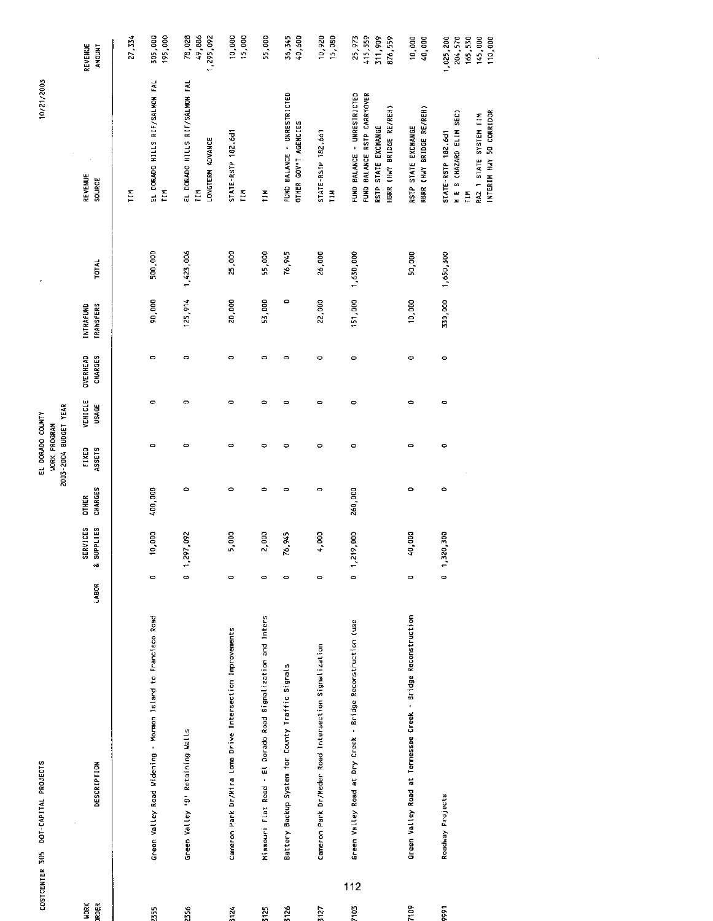| COSTCENTER 305 | DOT-CAPITAL PROJECTS                                         |         |                        |                         | 2003-2004 BUDGET YEAR<br>EL DORADO COUNTY<br><b>WORK PROGRAM</b> |                         |                            |                               |           | 10/21/2003                                                                                                    |                                                       |
|----------------|--------------------------------------------------------------|---------|------------------------|-------------------------|------------------------------------------------------------------|-------------------------|----------------------------|-------------------------------|-----------|---------------------------------------------------------------------------------------------------------------|-------------------------------------------------------|
| μοχ<br>ALER    | DESCRIPTION                                                  | LABOR   | SERVICES<br>& SUPPLIES | CHARGES<br><b>DTHER</b> | ASSETS<br>FIXED                                                  | VEHICLE<br><b>USAGE</b> | <b>OVERHEAD</b><br>CHARGES | <b>TRANSFERS</b><br>INTRAFUND | TOTAL     | REVENUE<br>SOURCE                                                                                             | REVENUE<br>AMOUNT                                     |
|                |                                                              |         |                        |                         |                                                                  |                         |                            |                               |           | Ξ                                                                                                             | 27,334                                                |
| 355            | Green Valley Road Widening - Mormon Island to Francisco Road | 0       | 0,000                  | 400,000                 | $\bullet$                                                        | ۰                       | 0                          | 90,000                        | 500,000   | EL DORADO HILLS RIF/SALMON FAL<br>ГIМ                                                                         | 195,000<br>305,000                                    |
| 356            | Green Valley '8' Retaining Walls                             | $\circ$ | 1,297,092              | $\circ$                 | $\circ$                                                          | $\circ$                 | $\circ$                    | 125,914                       | 1,423.006 | EL DORADO HILLS RIF/SALMON FAL<br>LONGTERM ADVANCE<br>ĒМ                                                      | 78,028<br>49,886<br>1.295.092                         |
| 124            | Cameron Park Dr/Mira Loma Drive Intersection Improvements    | $\circ$ | 5,000                  | 0                       | $\bullet$                                                        | o                       | $\mathbf{\circ}$           | 20,000                        | 25,000    | STATE-RSTP 182.6d1<br>FIN <sub>1</sub>                                                                        | 15,000<br>10,000                                      |
| 3125           | Missouri Flat Road - El Dorado Road Signalization and Inters | $\circ$ | 2,000                  | $\bullet$               | ۰                                                                | $\bullet$               | $\circ$                    | 53,000                        | 55,000    | Ξ                                                                                                             | 55,000                                                |
| 5126           | Battery Backup System for County Traffic Signals             | $\circ$ | 76,945                 | ۰                       | $\circ$                                                          | $\bullet$               | 0                          | 0                             | 76,945    | FUND BALANCE - UNRESTRICTED<br>OTHER GOV'T AGENCIES                                                           | 36,345<br>40,600                                      |
| 5127           | Cameron Park Dr/Meder Road Intersection Signalization        | $\circ$ | 4,000                  | $\circ$                 | $\bullet$                                                        | $\bullet$               | o                          | 22,000                        | 26,000    | STATE-RSTP 182.6d1<br>$\frac{1}{2}$                                                                           | 10,920<br>15,080                                      |
| 112<br>7103    | Green Valley Road at Dry Creek - Bridge Reconstruction (use  | c       | 1,219,000              | 260,000                 | o                                                                | $\bullet$               | $\bullet$                  | 151,000                       | 1,630,000 | FUND BALANCE - UNRESTRICTED<br>FUND BALANCE RSTP CARRYOVER<br>HBRR (HWY BRIDGE RE/REH)<br>RSTP STATE EXCHANGE | 415,559<br>311,909<br>25,973<br>876,559               |
| 7109           | Green Valley Road at Tennessee Creek - Bridge Reconstruction | Φ       | 40,000                 | $\circ$                 | $\circ$                                                          | $\bullet$               | $\circ$                    | 10,000                        | 50,000    | HBRR (HWY BRIDGE RE/REH)<br>RSTP STATE EXCHANGE                                                               | 10,000<br>40,000                                      |
| 566            | Roadway Projects                                             | 0       | 1,320,300              | $\circ$                 | ۰                                                                | $\bullet$               | $\circ$                    | 330,000                       | 1,650,300 | H E S (HAZARD ELIM SEC)<br>INTERIM HWY 50 CORRIDOR<br>RAZ 1 STATE SYSTEM TIM<br>STATE-RSTP 182.6d1<br>Ħ       | 145,000<br>110,000<br>204,570<br>165,530<br>1,025,200 |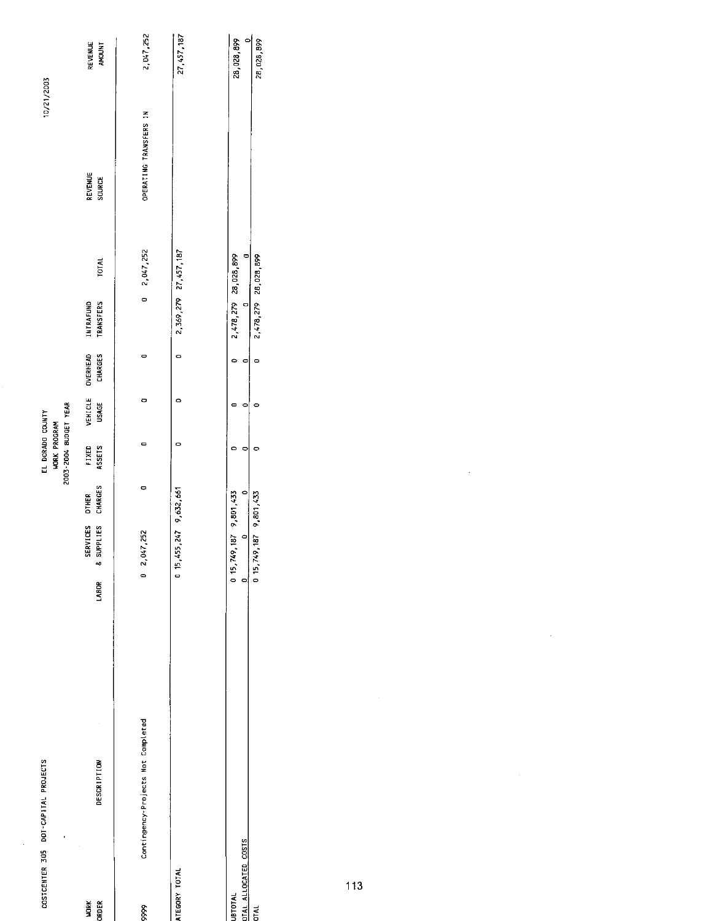| COSTCENTER 305 DOT-CAPITAL PROJECTS            |                                                                                   | 2003-2004 BUDGET YEAR<br>EL DORADO COUNTY<br><b>WORK PROGRAM</b> |                         |                     |                                                                          |                          |                          | 10/21/2003                    |
|------------------------------------------------|-----------------------------------------------------------------------------------|------------------------------------------------------------------|-------------------------|---------------------|--------------------------------------------------------------------------|--------------------------|--------------------------|-------------------------------|
| <b>DESCRIPTION</b><br><b>VORK</b><br>ORDER     | <b>CHARGES</b><br><b>DTHER</b><br>SERVICES<br>& SUPPLIES<br>LABOR                 | FIXED<br>ASSETS                                                  | VEHICLE<br><b>USAGE</b> | OVERHEAD<br>CHARGES | <b>INTRAFUND</b><br>TRANSFERS                                            | <b>TOTAL</b>             | REVENUE<br><b>SOURCE</b> | REVENUE<br><b>TNOONT</b>      |
| Contingency-Projects Not Completed<br>9999     | $0$ $2,047,252$                                                                   | O<br>۰                                                           | 0                       | 0                   | $\circ$                                                                  | 2,047.252                | OPERATING TRANSFERS IN   | 2 047,252                     |
| ATEGORY TOTAL                                  | $0$ 15, 455, 247 9, 632, 661                                                      | 0                                                                | ۰                       | 0                   | 2.369,279 27,457.187                                                     |                          |                          | 27, 457, 187                  |
| DTAL ALLOCATED COSTS<br><b>UBTOTAL</b><br>dTAL | 0 15,749,187 9,801,433<br>$\circ$<br>0 15,749,187 9,801,433<br>$\circ$<br>$\circ$ | 0                                                                |                         | ¢<br>c<br>۰         | 2,478,279 28,028,899<br>2,478,279 28,028,899<br>$\overline{\phantom{0}}$ | $\overline{\phantom{0}}$ |                          | 이<br>28,028,899<br>28,028,899 |

 $\sim 10$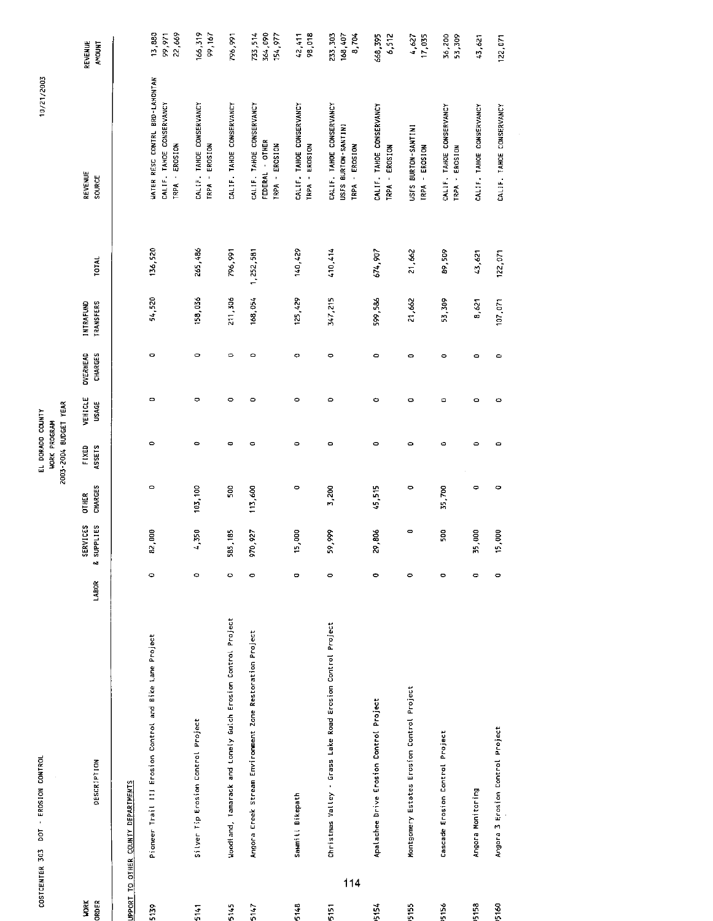| COSTCENTER 303       | DOT - EROSION CONTROL                                       |           |                        |                                | EL DORADO COUNTY<br><b>WORK PROGRAM</b> |                  |                                   |                        |           | 10/21/2003                                                                   |                               |
|----------------------|-------------------------------------------------------------|-----------|------------------------|--------------------------------|-----------------------------------------|------------------|-----------------------------------|------------------------|-----------|------------------------------------------------------------------------------|-------------------------------|
|                      |                                                             |           |                        |                                | 2003-2004 BUDGET YEAR                   |                  |                                   |                        |           |                                                                              |                               |
| <b>VORK</b><br>ORDER | <b>DESCRIPTION</b>                                          | LABOR     | SERVICES<br>& SUPPLIES | <b>CHARGES</b><br><b>OTHER</b> | <b>ASSETS</b><br>FIXED                  | VEHICLE<br>USAGE | <b>CHARGES</b><br><b>OVERHEAD</b> | TRANSFERS<br>INTRAFUND | TOTAL     | REVENUE<br>SOURCE                                                            | REVENUE<br><b>AMOUNT</b>      |
|                      | UPPORT TO OTHER COUNTY DEPARTMENTS                          |           |                        |                                |                                         |                  |                                   |                        |           |                                                                              |                               |
| 5139                 | Pioneer Trail III Erosion Control and Bike Lane Project     | $\circ$   | 82,000                 | $\circ$                        | $\bullet$                               | $\circ$          | $\circ$                           | 54,520                 | 136,520   | WATER RESC CONTRL BRD-LAHONTAN<br>CALIF. TAHOE CONSERVANCY<br>TRPA - EROSION | 22,669<br>13,880<br>99,971    |
| 5141                 | Silver Tip Erosion Control Project                          | ۰         | ,350<br>ෑ              | 103,100                        | $\circ$                                 | $\circ$          | 0                                 | 158,036                | 265,486   | CALIF. TAHOE CONSERVANCY<br>TRPA - EROSION                                   | 166,319<br>99,167             |
| 5145                 | Woodland, Tamarack and Lonely Guich Erosion Control Project | $\circ$   | 585, 185               | 500                            | $\Rightarrow$                           | $\circ$          | $\circ$                           | 211,306                | 796.991   | CALIF. TAHOE CONSERVANCY                                                     | 796,991                       |
| 5147                 | Angora Creek Stream Environment Zone Restoration Project    | $\circ$   | 970,927                | 113,600                        | $\circ$                                 | $\circ$          | ٥                                 | 168,054                | 1,252,581 | CALIF. TAHOE CONSERVANCY<br>FEDERAL - OTHER<br>TRPA - EROSION                | 733,514<br>364,090<br>154,977 |
| 5148                 | Sawmitt Bikepath                                            | 0         | eor<br>5,              | $\bullet$                      | $\bullet$                               | ۰                | o                                 | 125,429                | 140,429   | CALIF. TAHOE CONSERVANCY<br>TRPA - EROSION                                   | 98,018<br>42,411              |
| 114<br>5151          | Christmas Valley - Grass Lake Road Erosion Control Project  | $\circ$   | 59,999                 | 3,200                          | $\bullet$                               | $\circ$          | ۰                                 | 347,215                | 410,414   | CALIF. TAHOE CONSERVANCY<br>USFS BURTON-SANTINI<br>TRPA - EROSION            | 233,303<br>168,407<br>8,704   |
| 3154                 | Apalachee Drive Erosion Control Project                     | $\bullet$ | 29,806                 | 45,515                         | $\bullet$                               | ۰                | 0                                 | 599,586                | 674,907   | CALIF. TAHOE CONSERVANCY<br>TRPA - EROSION                                   | 668,395<br>6,512              |
| <b>155</b>           | Montgomery Estates Erosion Control Project                  | 0         | 0                      | $\circ$                        | $\circ$                                 | $\circ$          | $\circ$                           | 21,662                 | 21.662    | USFS BURTON-SANTINI<br><b>IRPA - EROSION</b>                                 | 4,627<br>17,035               |
| 95156                | Cascade Erosion Control Project                             | $\circ$   | SOC                    | 35,700                         | $\bullet$                               | $\bullet$        | $\circ$                           | 53,309                 | 89.509    | CALIF. TAHOE CONSERVANCY<br>TRPA - EROSION                                   | 36,200<br>53,309              |
| 35158                | Angora Monitoring                                           | $\bullet$ | 35,000                 | $\circ$                        | $\circ$                                 | 0                | $\circ$                           | B,621                  | 43,621    | CALIF. TAHOE CONSERVANCY                                                     | 43,621                        |
| <b>75160</b>         | Angora 3 Erosion Control Project                            | $\circ$   | 15,000                 | ۰                              | $\bullet$                               | $\circ$          | $\circ$                           | 107,071                | 122,071   | CALIF. TAHOE CONSERVANCY                                                     | 122,071                       |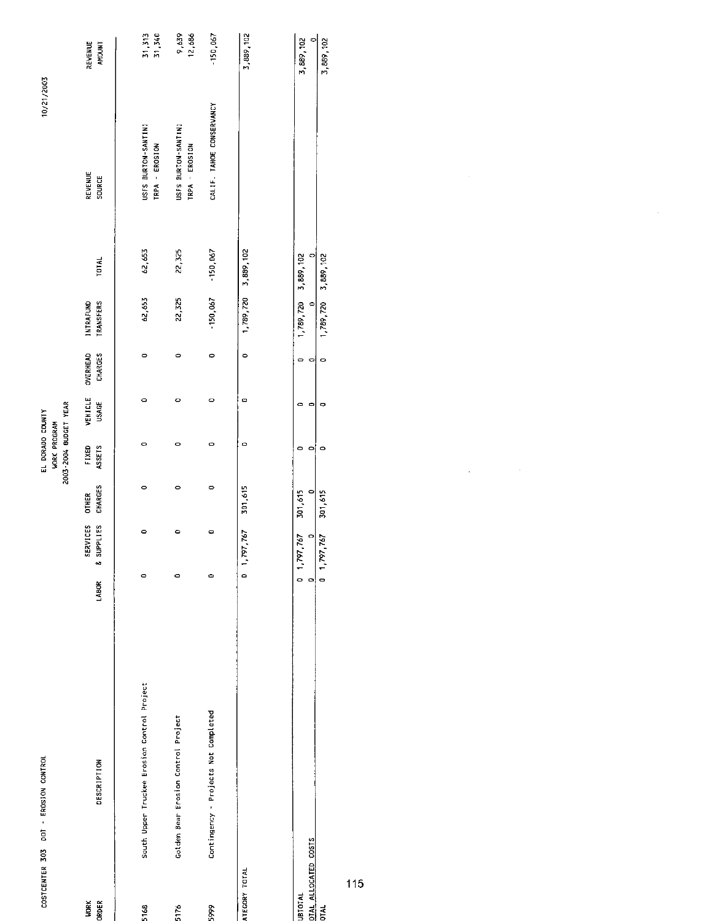|                                                       | COSTCENTER 303 DOT - EROSION CONTROL        |        |                                             |                                | 2003-2004 BUDGET YEAR<br>EL DORADO COUNTY<br><b>WORK PROGRAM</b> |                         |                           |                                            |                     | 10/21/2003                            |                                   |
|-------------------------------------------------------|---------------------------------------------|--------|---------------------------------------------|--------------------------------|------------------------------------------------------------------|-------------------------|---------------------------|--------------------------------------------|---------------------|---------------------------------------|-----------------------------------|
| <b>WORK</b><br>ORDER                                  | <b>DESCRIPTION</b>                          | LABOR  | SERVICES<br>SUPPLIES<br>٥ð                  | <b>CHARGES</b><br><b>OTHER</b> | FIXED<br>ASSETS                                                  | VEHICLE<br><b>USAGE</b> | OVERHEAD<br>CHARGES       | INTRAFUND<br><b>TRANSFERS</b>              | <b>TOTAL</b>        | REVENUE<br>SOURCE                     | REVENUE<br><b>AMOUNT</b>          |
| 5168                                                  | South Upper Truckee Erosion Control Project | 0      | ٥                                           | 0                              | 0                                                                | $\circ$                 | 0                         | 62,653                                     | 62,653              | USFS BURTON-SANTINI<br>TRPA - EROSION | 31,313<br>31,740                  |
| 5176                                                  | Golden Bear Erosion Control Project         | 0      | ۰                                           | 0                              | $\circ$                                                          | Ó                       | $\circ$                   | 22,325                                     | 22,325              | USFS BURTON-SANTINI<br>TRPA - EROSION | 0,639<br>12,686                   |
| 5999                                                  | Contingency - Projects Not Completed        | c      | Φ                                           | $\bullet$                      | $\circ$                                                          | $\circ$                 | $\circ$                   | 150,067                                    | $-150,067$          | CALIF. TAHOE CONSERVANCY              | $-150,067$                        |
| ATEGORY TOTAL                                         |                                             |        | 0 1,797,767                                 | 301,615                        | $\circ$                                                          | o                       | $\bullet$                 |                                            | 1,789,720 3,889,102 |                                       | 3,889,102                         |
| DTAL ALLOCATED COSTS<br><b>UBTOTAL</b><br><b>DIAL</b> |                                             | 0<br>٥ | $0$ 1,797,767<br>$\Rightarrow$<br>1,797,767 | 0<br>301,615<br>301,615        | 0<br>۰<br>۰                                                      | 0<br>c                  | 0<br>$\bullet$<br>$\circ$ | 1,789,720 3,889,102<br>1,789,720 3,889,102 |                     |                                       | 5,889,102<br>$\circ$<br>3,889,102 |

 $\mathcal{L}^{\mathcal{L}}$ 

 $115$ 

l,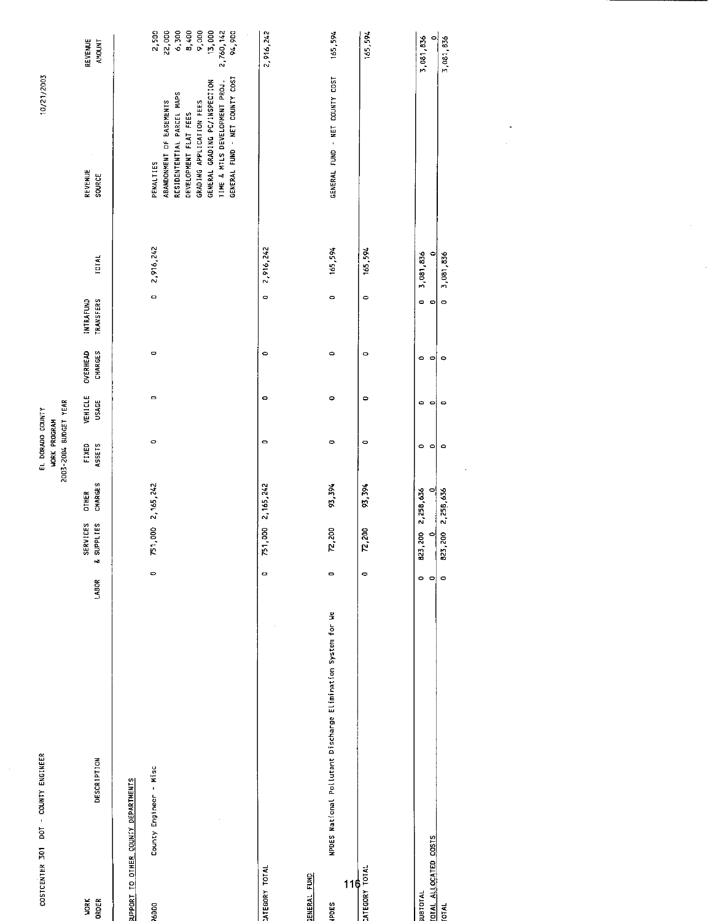| COSTCENTER 301 DOT - COUNTY ENGINEER        |                                                              |                      |                        |                                | 2003-2004 BUDGET YEAR<br>EL DORADO COUNTY<br>WORK PROGRAM |                      |                            |                                             |                      | 10/21/2003                                                                                                                                                                                                                   |                                                                               |
|---------------------------------------------|--------------------------------------------------------------|----------------------|------------------------|--------------------------------|-----------------------------------------------------------|----------------------|----------------------------|---------------------------------------------|----------------------|------------------------------------------------------------------------------------------------------------------------------------------------------------------------------------------------------------------------------|-------------------------------------------------------------------------------|
| <b>WORK</b><br>ORDER                        | <b>DESCRIPTION</b>                                           | LABOR                | SERVICES<br>& SUPPLIES | <b>CHARGES</b><br><b>DTHER</b> | FIXED<br>ASSETS                                           | VEHICLE<br>USAGE     | <b>OVERHEAD</b><br>CHARGES | <b>INTRAFUND</b><br><b><i>TRANSFERS</i></b> | <b>TOTAL</b>         | $\cdot$<br>REVENUE<br><b>SOURCE</b>                                                                                                                                                                                          | REVENUE<br><b>AMOUNT</b>                                                      |
| UPPORT TO OTHER COUNTY DEPARTMENTS          |                                                              |                      |                        |                                |                                                           |                      |                            |                                             |                      |                                                                                                                                                                                                                              |                                                                               |
| County Engineer - Misc<br>76000             |                                                              | $\bullet$            | 751,000 2,165,242      |                                | $\circ$                                                   | $\mathbf{\circ}$     | $\circ$                    | $\circ$                                     | 2,916,242            | GENERAL FUND - NET COUNTY COST<br>GENERAL GRADING PC/INSPECTION<br>TIME & MTLS DEVELOPMENT PROJ.<br>RESIDENTENTIAL PARCEL MAPS<br>ABANDONMENT OF EASEMENTS<br>GRADING APPLICATION FEES<br>DEVELOPMENT FLAT FEES<br>PENALTIES | 2,500<br>22,000<br>$6,300$<br>8,400<br>9,000<br>13,000<br>94,900<br>2,760,142 |
| <b>ATEGORY TOTAL</b>                        |                                                              | $\bullet$            | 751,000 2,165,242      |                                | $\circ$                                                   | $\circ$              | $\circ$                    | 0                                           | 2,916,242            |                                                                                                                                                                                                                              | 2,916,242                                                                     |
| <b>ENERAL FUND</b>                          |                                                              |                      |                        |                                |                                                           |                      |                            |                                             |                      |                                                                                                                                                                                                                              |                                                                               |
| 116<br><b>S30dh</b>                         | NPDES National Pollutant Discharge Elimination System for We | $\mathbf{\bullet}$   | 72,200                 | 93,394                         | $\circ$                                                   | $\circ$              | $\circ$                    | $\circ$                                     | 165,594              | GENERAL FUND - NET COUNTY COST                                                                                                                                                                                               | 165,594                                                                       |
| <b>INTEGORY TOTAL</b>                       |                                                              | 0                    | 72,200                 | 93, 394                        | $\circ$                                                   | $\circ$              | $\circ$                    | $\circ$                                     | 165,594              |                                                                                                                                                                                                                              | 165,594                                                                       |
| <b>JATOTAL</b>                              |                                                              | $\circ$              | 823,200                | 2,258,636                      | $\circ$                                                   | $\bullet$            | $\circ$                    | $\circ$                                     | 3,081,836            |                                                                                                                                                                                                                              | 3,081,836                                                                     |
| <b>DTAL ALLOCATED COSTS</b><br><b>TATO1</b> |                                                              | $\circ$<br>$\bullet$ | 823,200<br>$\circ$     | 2.258,636<br>$\circ$           | $\circ$<br>$\circ$                                        | $\bullet$<br>$\circ$ | $\circ$<br>$\circ$         | $\circ$<br>$\bullet$                        | 3,081,836<br>$\circ$ |                                                                                                                                                                                                                              | $\circ$<br>3,081,836                                                          |
|                                             |                                                              |                      |                        |                                |                                                           |                      |                            |                                             |                      |                                                                                                                                                                                                                              |                                                                               |
|                                             |                                                              |                      |                        |                                |                                                           |                      |                            |                                             |                      |                                                                                                                                                                                                                              |                                                                               |
|                                             |                                                              |                      |                        |                                |                                                           |                      |                            |                                             |                      |                                                                                                                                                                                                                              |                                                                               |

 $\frac{1}{2}$